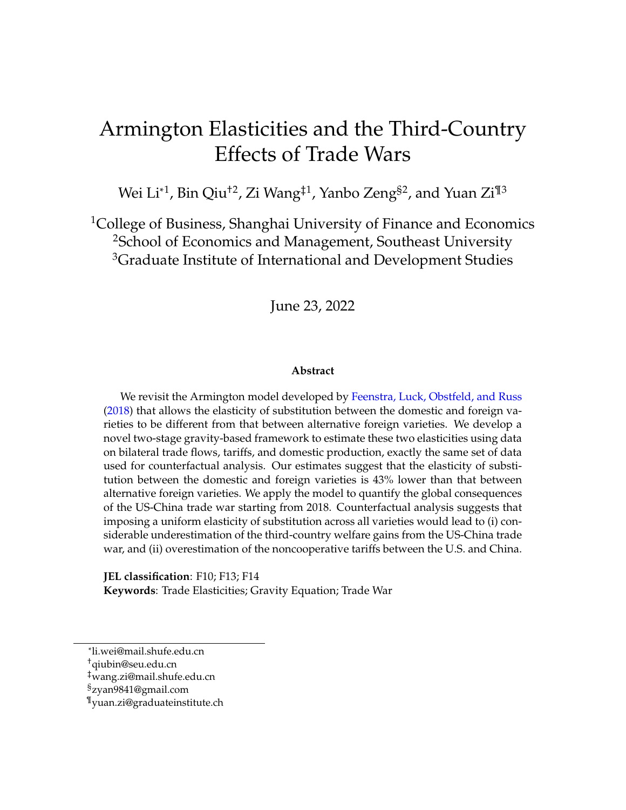# Armington Elasticities and the Third-Country Effects of Trade Wars

Wei Li $^{\ast1}$ , Bin Qiu $^{\dag2}$ , Zi Wang $^{\ddag1}$ , Yanbo Zeng $^{\S2}$ , and Yuan Zi $^{\P3}$ 

<sup>1</sup>College of Business, Shanghai University of Finance and Economics <sup>2</sup>School of Economics and Management, Southeast University <sup>3</sup>Graduate Institute of International and Development Studies

June 23, 2022

#### **Abstract**

We revisit the Armington model developed by [Feenstra, Luck, Obstfeld, and Russ](#page-31-0) [\(2018\)](#page-31-0) that allows the elasticity of substitution between the domestic and foreign varieties to be different from that between alternative foreign varieties. We develop a novel two-stage gravity-based framework to estimate these two elasticities using data on bilateral trade flows, tariffs, and domestic production, exactly the same set of data used for counterfactual analysis. Our estimates suggest that the elasticity of substitution between the domestic and foreign varieties is 43% lower than that between alternative foreign varieties. We apply the model to quantify the global consequences of the US-China trade war starting from 2018. Counterfactual analysis suggests that imposing a uniform elasticity of substitution across all varieties would lead to (i) considerable underestimation of the third-country welfare gains from the US-China trade war, and (ii) overestimation of the noncooperative tariffs between the U.S. and China.

**JEL classification**: F10; F13; F14 **Keywords**: Trade Elasticities; Gravity Equation; Trade War

<sup>\*</sup>li.wei@mail.shufe.edu.cn

<sup>†</sup>qiubin@seu.edu.cn

<sup>‡</sup>wang.zi@mail.shufe.edu.cn

<sup>§</sup>zyan9841@gmail.com

<sup>¶</sup>yuan.zi@graduateinstitute.ch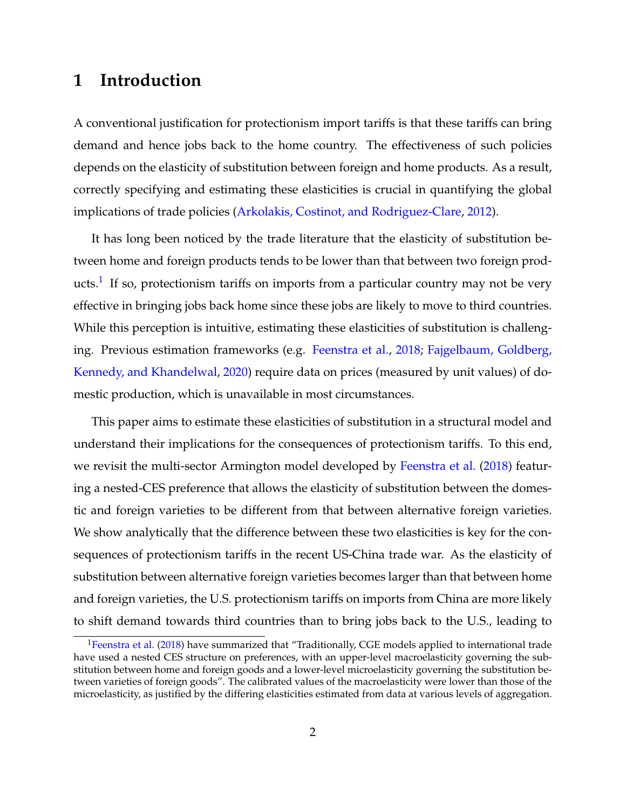## **1 Introduction**

A conventional justification for protectionism import tariffs is that these tariffs can bring demand and hence jobs back to the home country. The effectiveness of such policies depends on the elasticity of substitution between foreign and home products. As a result, correctly specifying and estimating these elasticities is crucial in quantifying the global implications of trade policies [\(Arkolakis, Costinot, and Rodriguez-Clare,](#page-30-0) [2012\)](#page-30-0).

It has long been noticed by the trade literature that the elasticity of substitution between home and foreign products tends to be lower than that between two foreign prod-ucts.<sup>[1](#page-1-0)</sup> If so, protectionism tariffs on imports from a particular country may not be very effective in bringing jobs back home since these jobs are likely to move to third countries. While this perception is intuitive, estimating these elasticities of substitution is challenging. Previous estimation frameworks (e.g. [Feenstra et al.,](#page-31-0) [2018;](#page-31-0) [Fajgelbaum, Goldberg,](#page-31-1) [Kennedy, and Khandelwal,](#page-31-1) [2020\)](#page-31-1) require data on prices (measured by unit values) of domestic production, which is unavailable in most circumstances.

This paper aims to estimate these elasticities of substitution in a structural model and understand their implications for the consequences of protectionism tariffs. To this end, we revisit the multi-sector Armington model developed by [Feenstra et al.](#page-31-0) [\(2018\)](#page-31-0) featuring a nested-CES preference that allows the elasticity of substitution between the domestic and foreign varieties to be different from that between alternative foreign varieties. We show analytically that the difference between these two elasticities is key for the consequences of protectionism tariffs in the recent US-China trade war. As the elasticity of substitution between alternative foreign varieties becomes larger than that between home and foreign varieties, the U.S. protectionism tariffs on imports from China are more likely to shift demand towards third countries than to bring jobs back to the U.S., leading to

<span id="page-1-0"></span> $1$ [Feenstra et al.](#page-31-0) [\(2018\)](#page-31-0) have summarized that "Traditionally, CGE models applied to international trade have used a nested CES structure on preferences, with an upper-level macroelasticity governing the substitution between home and foreign goods and a lower-level microelasticity governing the substitution between varieties of foreign goods". The calibrated values of the macroelasticity were lower than those of the microelasticity, as justified by the differing elasticities estimated from data at various levels of aggregation.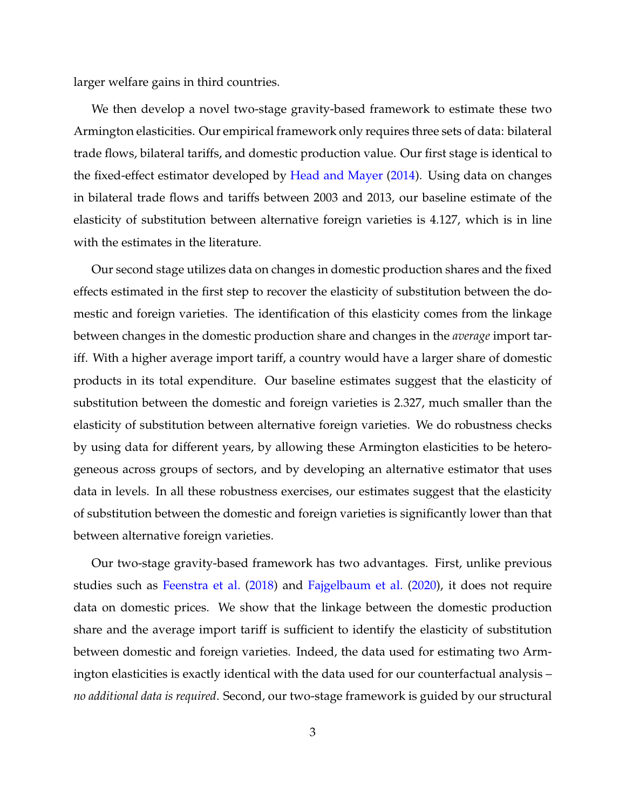larger welfare gains in third countries.

We then develop a novel two-stage gravity-based framework to estimate these two Armington elasticities. Our empirical framework only requires three sets of data: bilateral trade flows, bilateral tariffs, and domestic production value. Our first stage is identical to the fixed-effect estimator developed by [Head and Mayer](#page-31-2) [\(2014\)](#page-31-2). Using data on changes in bilateral trade flows and tariffs between 2003 and 2013, our baseline estimate of the elasticity of substitution between alternative foreign varieties is 4.127, which is in line with the estimates in the literature.

Our second stage utilizes data on changes in domestic production shares and the fixed effects estimated in the first step to recover the elasticity of substitution between the domestic and foreign varieties. The identification of this elasticity comes from the linkage between changes in the domestic production share and changes in the *average* import tariff. With a higher average import tariff, a country would have a larger share of domestic products in its total expenditure. Our baseline estimates suggest that the elasticity of substitution between the domestic and foreign varieties is 2.327, much smaller than the elasticity of substitution between alternative foreign varieties. We do robustness checks by using data for different years, by allowing these Armington elasticities to be heterogeneous across groups of sectors, and by developing an alternative estimator that uses data in levels. In all these robustness exercises, our estimates suggest that the elasticity of substitution between the domestic and foreign varieties is significantly lower than that between alternative foreign varieties.

Our two-stage gravity-based framework has two advantages. First, unlike previous studies such as [Feenstra et al.](#page-31-0) [\(2018\)](#page-31-0) and [Fajgelbaum et al.](#page-31-1) [\(2020\)](#page-31-1), it does not require data on domestic prices. We show that the linkage between the domestic production share and the average import tariff is sufficient to identify the elasticity of substitution between domestic and foreign varieties. Indeed, the data used for estimating two Armington elasticities is exactly identical with the data used for our counterfactual analysis – *no additional data is required*. Second, our two-stage framework is guided by our structural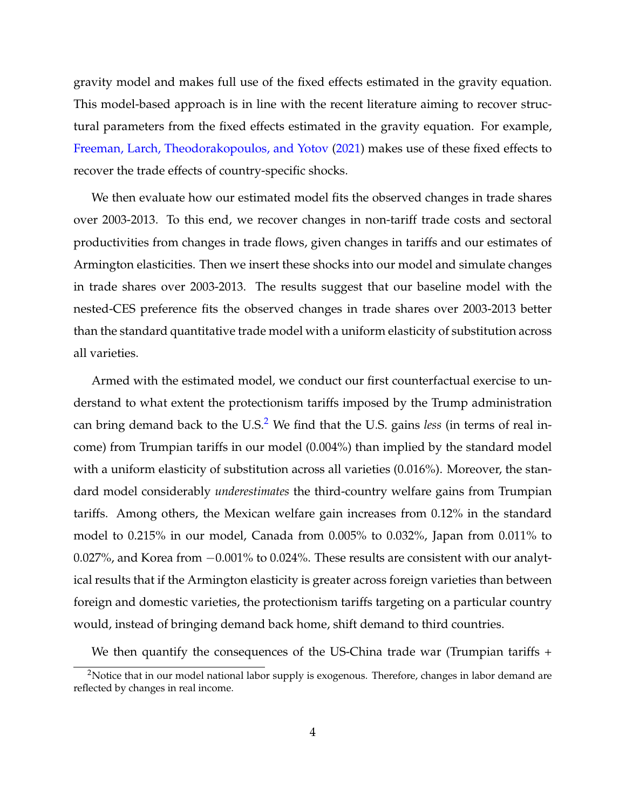gravity model and makes full use of the fixed effects estimated in the gravity equation. This model-based approach is in line with the recent literature aiming to recover structural parameters from the fixed effects estimated in the gravity equation. For example, [Freeman, Larch, Theodorakopoulos, and Yotov](#page-31-3) [\(2021\)](#page-31-3) makes use of these fixed effects to recover the trade effects of country-specific shocks.

We then evaluate how our estimated model fits the observed changes in trade shares over 2003-2013. To this end, we recover changes in non-tariff trade costs and sectoral productivities from changes in trade flows, given changes in tariffs and our estimates of Armington elasticities. Then we insert these shocks into our model and simulate changes in trade shares over 2003-2013. The results suggest that our baseline model with the nested-CES preference fits the observed changes in trade shares over 2003-2013 better than the standard quantitative trade model with a uniform elasticity of substitution across all varieties.

Armed with the estimated model, we conduct our first counterfactual exercise to understand to what extent the protectionism tariffs imposed by the Trump administration can bring demand back to the U.S.<sup>[2](#page-3-0)</sup> We find that the U.S. gains less (in terms of real income) from Trumpian tariffs in our model (0.004%) than implied by the standard model with a uniform elasticity of substitution across all varieties (0.016%). Moreover, the standard model considerably *underestimates* the third-country welfare gains from Trumpian tariffs. Among others, the Mexican welfare gain increases from 0.12% in the standard model to 0.215% in our model, Canada from 0.005% to 0.032%, Japan from 0.011% to 0.027%, and Korea from −0.001% to 0.024%. These results are consistent with our analytical results that if the Armington elasticity is greater across foreign varieties than between foreign and domestic varieties, the protectionism tariffs targeting on a particular country would, instead of bringing demand back home, shift demand to third countries.

We then quantify the consequences of the US-China trade war (Trumpian tariffs +

<span id="page-3-0"></span><sup>&</sup>lt;sup>2</sup>Notice that in our model national labor supply is exogenous. Therefore, changes in labor demand are reflected by changes in real income.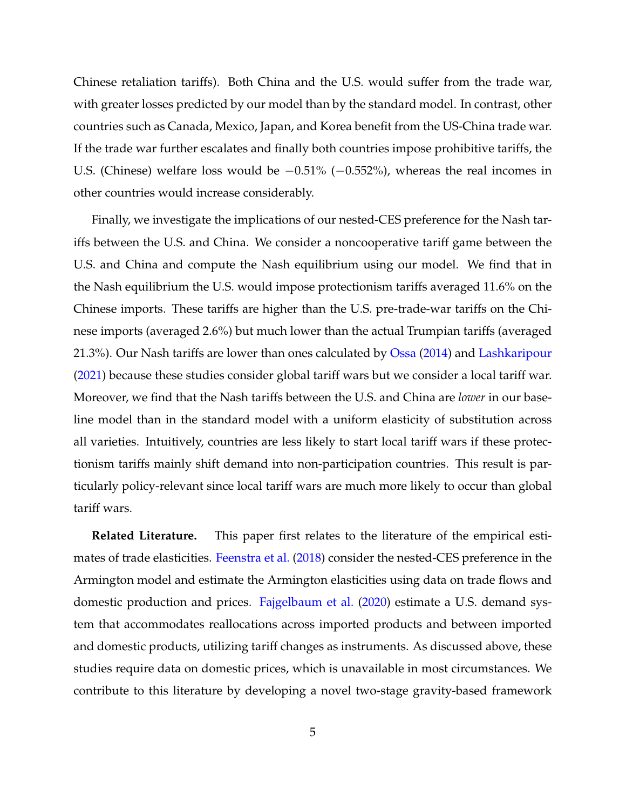Chinese retaliation tariffs). Both China and the U.S. would suffer from the trade war, with greater losses predicted by our model than by the standard model. In contrast, other countries such as Canada, Mexico, Japan, and Korea benefit from the US-China trade war. If the trade war further escalates and finally both countries impose prohibitive tariffs, the U.S. (Chinese) welfare loss would be −0.51% (−0.552%), whereas the real incomes in other countries would increase considerably.

Finally, we investigate the implications of our nested-CES preference for the Nash tariffs between the U.S. and China. We consider a noncooperative tariff game between the U.S. and China and compute the Nash equilibrium using our model. We find that in the Nash equilibrium the U.S. would impose protectionism tariffs averaged 11.6% on the Chinese imports. These tariffs are higher than the U.S. pre-trade-war tariffs on the Chinese imports (averaged 2.6%) but much lower than the actual Trumpian tariffs (averaged 21.3%). Our Nash tariffs are lower than ones calculated by [Ossa](#page-32-0) [\(2014\)](#page-32-0) and [Lashkaripour](#page-31-4) [\(2021\)](#page-31-4) because these studies consider global tariff wars but we consider a local tariff war. Moreover, we find that the Nash tariffs between the U.S. and China are *lower* in our baseline model than in the standard model with a uniform elasticity of substitution across all varieties. Intuitively, countries are less likely to start local tariff wars if these protectionism tariffs mainly shift demand into non-participation countries. This result is particularly policy-relevant since local tariff wars are much more likely to occur than global tariff wars.

**Related Literature.** This paper first relates to the literature of the empirical estimates of trade elasticities. [Feenstra et al.](#page-31-0) [\(2018\)](#page-31-0) consider the nested-CES preference in the Armington model and estimate the Armington elasticities using data on trade flows and domestic production and prices. [Fajgelbaum et al.](#page-31-1) [\(2020\)](#page-31-1) estimate a U.S. demand system that accommodates reallocations across imported products and between imported and domestic products, utilizing tariff changes as instruments. As discussed above, these studies require data on domestic prices, which is unavailable in most circumstances. We contribute to this literature by developing a novel two-stage gravity-based framework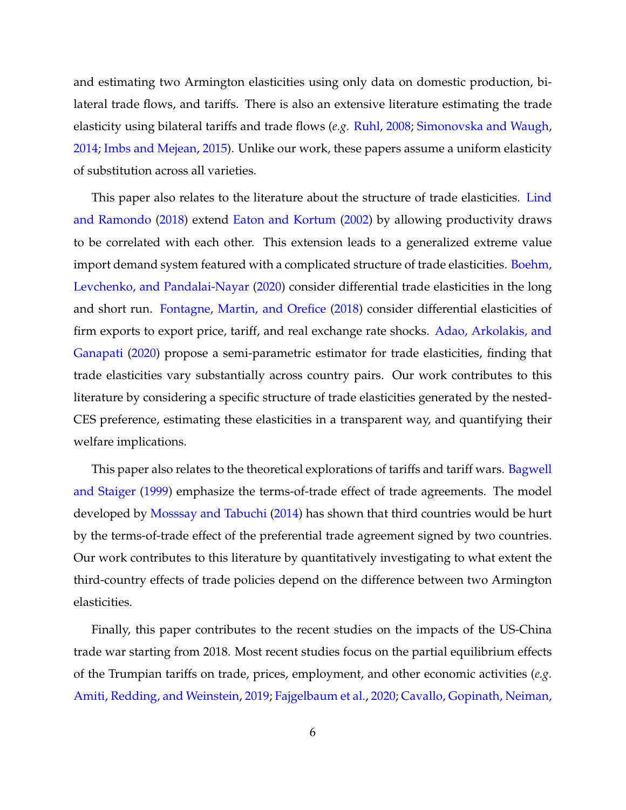and estimating two Armington elasticities using only data on domestic production, bilateral trade flows, and tariffs. There is also an extensive literature estimating the trade elasticity using bilateral tariffs and trade flows (*e.g.* [Ruhl,](#page-32-1) [2008;](#page-32-1) [Simonovska and Waugh,](#page-32-2) [2014;](#page-32-2) [Imbs and Mejean,](#page-31-5) [2015\)](#page-31-5). Unlike our work, these papers assume a uniform elasticity of substitution across all varieties.

This paper also relates to the literature about the structure of trade elasticities. [Lind](#page-31-6) [and Ramondo](#page-31-6) [\(2018\)](#page-31-6) extend [Eaton and Kortum](#page-31-7) [\(2002\)](#page-31-7) by allowing productivity draws to be correlated with each other. This extension leads to a generalized extreme value import demand system featured with a complicated structure of trade elasticities. [Boehm,](#page-30-1) [Levchenko, and Pandalai-Nayar](#page-30-1) [\(2020\)](#page-30-1) consider differential trade elasticities in the long and short run. [Fontagne, Martin, and Orefice](#page-31-8) [\(2018\)](#page-31-8) consider differential elasticities of firm exports to export price, tariff, and real exchange rate shocks. [Adao, Arkolakis, and](#page-30-2) [Ganapati](#page-30-2) [\(2020\)](#page-30-2) propose a semi-parametric estimator for trade elasticities, finding that trade elasticities vary substantially across country pairs. Our work contributes to this literature by considering a specific structure of trade elasticities generated by the nested-CES preference, estimating these elasticities in a transparent way, and quantifying their welfare implications.

This paper also relates to the theoretical explorations of tariffs and tariff wars. [Bagwell](#page-30-3) [and Staiger](#page-30-3) [\(1999\)](#page-30-3) emphasize the terms-of-trade effect of trade agreements. The model developed by [Mosssay and Tabuchi](#page-32-3) [\(2014\)](#page-32-3) has shown that third countries would be hurt by the terms-of-trade effect of the preferential trade agreement signed by two countries. Our work contributes to this literature by quantitatively investigating to what extent the third-country effects of trade policies depend on the difference between two Armington elasticities.

Finally, this paper contributes to the recent studies on the impacts of the US-China trade war starting from 2018. Most recent studies focus on the partial equilibrium effects of the Trumpian tariffs on trade, prices, employment, and other economic activities (*e.g.* [Amiti, Redding, and Weinstein,](#page-30-4) [2019;](#page-30-4) [Fajgelbaum et al.,](#page-31-1) [2020;](#page-31-1) [Cavallo, Gopinath, Neiman,](#page-30-5)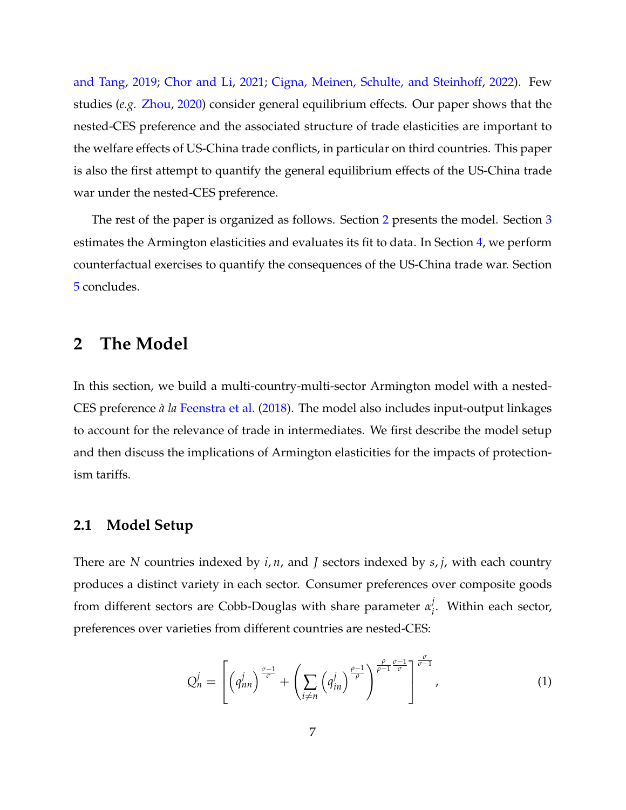[and Tang,](#page-30-5) [2019;](#page-30-5) [Chor and Li,](#page-30-6) [2021;](#page-30-6) [Cigna, Meinen, Schulte, and Steinhoff,](#page-31-9) [2022\)](#page-31-9). Few studies (*e.g.* [Zhou,](#page-32-4) [2020\)](#page-32-4) consider general equilibrium effects. Our paper shows that the nested-CES preference and the associated structure of trade elasticities are important to the welfare effects of US-China trade conflicts, in particular on third countries. This paper is also the first attempt to quantify the general equilibrium effects of the US-China trade war under the nested-CES preference.

The rest of the paper is organized as follows. Section [2](#page-6-0) presents the model. Section [3](#page-12-0) estimates the Armington elasticities and evaluates its fit to data. In Section [4,](#page-20-0) we perform counterfactual exercises to quantify the consequences of the US-China trade war. Section [5](#page-28-0) concludes.

### <span id="page-6-0"></span>**2 The Model**

In this section, we build a multi-country-multi-sector Armington model with a nested-CES preference *à la* [Feenstra et al.](#page-31-0) [\(2018\)](#page-31-0). The model also includes input-output linkages to account for the relevance of trade in intermediates. We first describe the model setup and then discuss the implications of Armington elasticities for the impacts of protectionism tariffs.

#### **2.1 Model Setup**

There are *N* countries indexed by *i*, *n*, and *J* sectors indexed by *s*, *j*, with each country produces a distinct variety in each sector. Consumer preferences over composite goods from different sectors are Cobb-Douglas with share parameter *α j i* . Within each sector, preferences over varieties from different countries are nested-CES:

$$
Q_n^j = \left[ \left( q_{nn}^j \right)^{\frac{\sigma-1}{\sigma}} + \left( \sum_{i \neq n} \left( q_{in}^j \right)^{\frac{\rho-1}{\rho}} \right)^{\frac{\rho}{\rho-1} \frac{\sigma-1}{\sigma}} \right]^{\frac{\sigma}{\sigma-1}}, \tag{1}
$$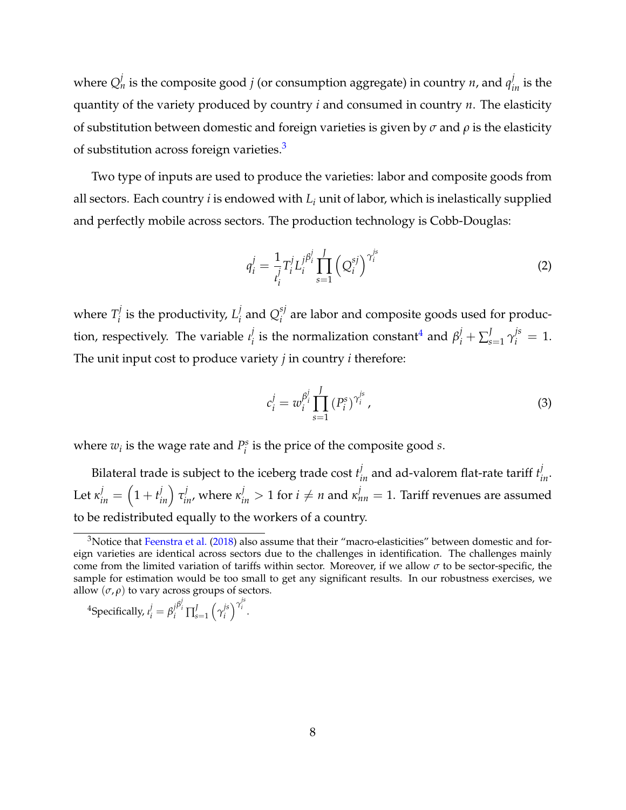where  $Q_n^j$  is the composite good  $j$  (or consumption aggregate) in country  $n$ , and  $q_{in}^j$  is the quantity of the variety produced by country *i* and consumed in country *n*. The elasticity of substitution between domestic and foreign varieties is given by *σ* and *ρ* is the elasticity of substitution across foreign varieties.<sup>[3](#page-7-0)</sup>

Two type of inputs are used to produce the varieties: labor and composite goods from all sectors. Each country *i* is endowed with *L<sup>i</sup>* unit of labor, which is inelastically supplied and perfectly mobile across sectors. The production technology is Cobb-Douglas:

$$
q_i^j = \frac{1}{l_i^j} T_i^j L_i^{j\beta_i^j} \prod_{s=1}^J (Q_i^{sj})^{\gamma_i^{js}}
$$
 (2)

where  $T_i^j$  $I_i^j$  is the productivity,  $L_i^j$  $\int_i^j$  and  $Q_i^{sj}$  $\frac{1}{i}$  are labor and composite goods used for production, respectively. The variable *ι j*  $j_i^j$  is the normalization constant<sup>[4](#page-7-1)</sup> and  $\beta_i^j + \sum_s^j$  $\int_{s=1}^{J} \gamma_i^{js} = 1.$ The unit input cost to produce variety *j* in country *i* therefore:

$$
c_i^j = w_i^{\beta_i^j} \prod_{s=1}^J (P_i^s)^{\gamma_i^{j_s}}, \qquad (3)
$$

where  $w_i$  is the wage rate and  $P_i^s$  $i<sup>s</sup>$  is the price of the composite good *s*.

Bilateral trade is subject to the iceberg trade cost  $t_{in}^j$  and ad-valorem flat-rate tariff  $t_{in}^j$ . Let  $\kappa_{in}^j=\left(1+t_{in}^j\right)\tau_{in}^j$ , where  $\kappa_{in}^j>1$  for  $i\neq n$  and  $\kappa_{nn}^j=1.$  Tariff revenues are assumed to be redistributed equally to the workers of a country.

<span id="page-7-1"></span><sup>4</sup>Specifically, 
$$
i_i^j = \beta_i^{j} \beta_i^j \prod_{s=1}^J (\gamma_i^{js})^{\gamma_i^{js}}
$$
.

<span id="page-7-0"></span> $3$ Notice that [Feenstra et al.](#page-31-0) [\(2018\)](#page-31-0) also assume that their "macro-elasticities" between domestic and foreign varieties are identical across sectors due to the challenges in identification. The challenges mainly come from the limited variation of tariffs within sector. Moreover, if we allow  $\sigma$  to be sector-specific, the sample for estimation would be too small to get any significant results. In our robustness exercises, we allow  $(\sigma, \rho)$  to vary across groups of sectors.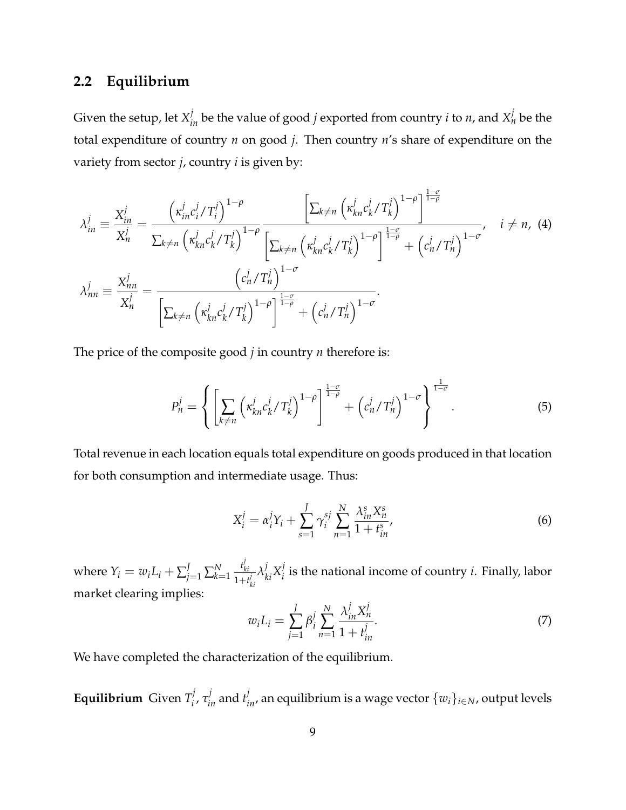### **2.2 Equilibrium**

Given the setup, let  $X_{in}^j$  be the value of good  $j$  exported from country  $i$  to  $n$ , and  $X_n^j$  be the total expenditure of country *n* on good *j*. Then country *n*'s share of expenditure on the variety from sector *j*, country *i* is given by:

$$
\lambda_{in}^{j} \equiv \frac{X_{in}^{j}}{X_{n}^{j}} = \frac{\left(\kappa_{in}^{j}c_{i}^{j}/T_{i}^{j}\right)^{1-\rho}}{\sum_{k \neq n} \left(\kappa_{kn}^{j}c_{k}^{j}/T_{k}^{j}\right)^{1-\rho} \left[\sum_{k \neq n} \left(\kappa_{kn}^{j}c_{k}^{j}/T_{k}^{j}\right)^{1-\rho}\right]^{\frac{1-\sigma}{1-\rho}}}{\left[\sum_{k \neq n} \left(\kappa_{kn}^{j}c_{k}^{j}/T_{k}^{j}\right)^{1-\rho}\right]^{\frac{1-\sigma}{1-\rho}} + \left(c_{n}^{j}/T_{n}^{j}\right)^{1-\sigma}}}, \quad i \neq n, (4)
$$
\n
$$
\lambda_{nn}^{j} \equiv \frac{X_{nn}^{j}}{X_{n}^{j}} = \frac{\left(c_{n}^{j}/T_{n}^{j}\right)^{1-\sigma}}{\left[\sum_{k \neq n} \left(\kappa_{kn}^{j}c_{k}^{j}/T_{k}^{j}\right)^{1-\rho}\right]^{\frac{1-\sigma}{1-\rho}} + \left(c_{n}^{j}/T_{n}^{j}\right)^{1-\sigma}}.
$$

The price of the composite good *j* in country *n* therefore is:

<span id="page-8-3"></span><span id="page-8-2"></span>
$$
P_n^j = \left\{ \left[ \sum_{k \neq n} \left( \kappa_{kn}^j c_k^j / T_k^j \right)^{1-\rho} \right]^{1-\sigma} + \left( c_n^j / T_n^j \right)^{1-\sigma} \right\}^{\frac{1}{1-\sigma}}.
$$
 (5)

Total revenue in each location equals total expenditure on goods produced in that location for both consumption and intermediate usage. Thus:

<span id="page-8-1"></span>
$$
X_i^j = \alpha_i^j Y_i + \sum_{s=1}^J \gamma_i^{sj} \sum_{n=1}^N \frac{\lambda_{in}^s X_n^s}{1 + t_{in}^s},
$$
\n(6)

where  $Y_i = w_i L_i + \sum_{j=1}^J \sum_{k=1}^N$ *t j ki*  $1+t^j_k$ *ki*  $\lambda^j_{ki} X^j_i$  $\mathbf{f}_i$  is the national income of country *i*. Finally, labor market clearing implies:

<span id="page-8-0"></span>
$$
w_i L_i = \sum_{j=1}^{J} \beta_i^j \sum_{n=1}^{N} \frac{\lambda_{in}^j X_n^j}{1 + t_{in}^j}.
$$
 (7)

We have completed the characterization of the equilibrium.

**Equilibrium** Given *T j*  $\sigma_i^j$ ,  $\tau_{in}^j$  and  $t_{in}^j$ , an equilibrium is a wage vector  $\{w_i\}_{i\in N}$ , output levels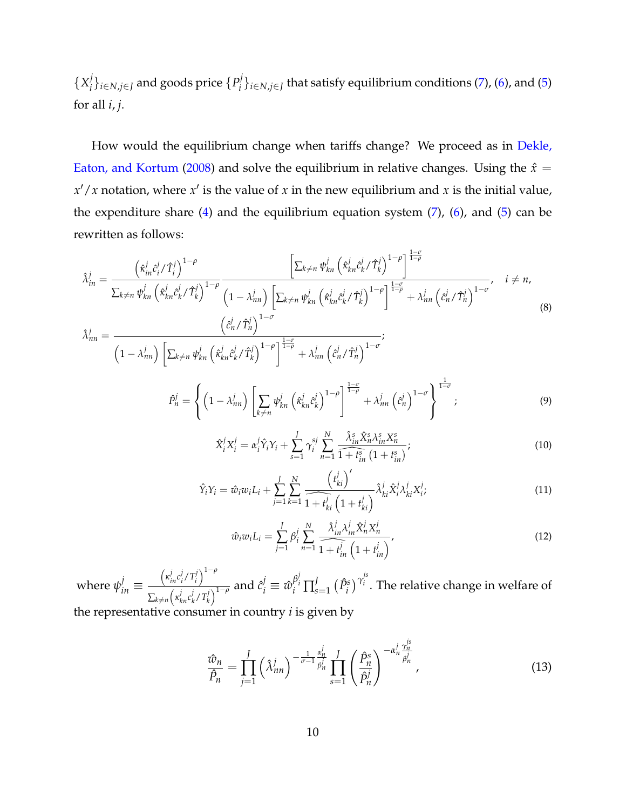${X_i^j}$  $\{P_i^j\}_{i\in N, j\in J}$  and goods price  $\{P_i^j\}$ *i* }*i*∈*N*,*j*∈*<sup>J</sup>* that satisfy equilibrium conditions [\(7\)](#page-8-0), [\(6\)](#page-8-1), and [\(5\)](#page-8-2) for all *i*, *j*.

How would the equilibrium change when tariffs change? We proceed as in [Dekle,](#page-31-10) [Eaton, and Kortum](#page-31-10) [\(2008\)](#page-31-10) and solve the equilibrium in relative changes. Using the  $\hat{x} =$  $x'/x$  notation, where  $x'$  is the value of  $x$  in the new equilibrium and  $x$  is the initial value, the expenditure share  $(4)$  and the equilibrium equation system  $(7)$ ,  $(6)$ , and  $(5)$  can be rewritten as follows:

<span id="page-9-1"></span>
$$
\hat{\lambda}_{in}^{j} = \frac{\left(\hat{\kappa}_{in}^{j}\hat{c}_{i}^{j}/\hat{T}_{i}^{j}\right)^{1-\rho}}{\sum_{k\neq n} \psi_{kn}^{j}\left(\hat{\kappa}_{kn}^{j}\hat{c}_{k}^{j}/\hat{T}_{k}^{j}\right)^{1-\rho}} \frac{\left[\sum_{k\neq n} \psi_{kn}^{j}\left(\hat{\kappa}_{kn}^{j}\hat{c}_{k}^{j}/\hat{T}_{k}^{j}\right)^{1-\rho}\right]^{\frac{1-\sigma}{1-\rho}}}{\left(1-\lambda_{nn}^{j}\right)\left[\sum_{k\neq n} \psi_{kn}^{j}\left(\hat{\kappa}_{kn}^{j}\hat{c}_{k}^{j}/\hat{T}_{k}^{j}\right)^{1-\rho}\right]^{\frac{1-\sigma}{1-\rho}} + \lambda_{nn}^{j}\left(\hat{c}_{n}^{j}/\hat{T}_{n}^{j}\right)^{1-\sigma}}, \quad i \neq n,
$$
\n
$$
\hat{\lambda}_{j}^{j} = \left(\hat{c}_{n}^{j}/\hat{T}_{n}^{j}\right)^{1-\sigma}
$$
\n(8)

$$
\hat{\lambda}_{nn}^{j} = \frac{\left(\hat{\lambda}_{nn}^{j}\right)^{j}}{\left(1 - \lambda_{nn}^{j}\right)\left[\sum_{k \neq n} \psi_{kn}^{j} \left(\hat{\kappa}_{kn}^{j} \hat{c}_{k}^{j} / \hat{T}_{k}^{j}\right)^{1-\rho}\right]^{\frac{1-\sigma}{1-\rho}} + \lambda_{nn}^{j} \left(\hat{c}_{n}^{j} / \hat{T}_{n}^{j}\right)^{1-\sigma}};
$$
\n
$$
\hat{P}_{n}^{j} = \left\{\left(1 - \lambda_{nn}^{j}\right)\left[\sum_{k \neq n} \psi_{kn}^{j} \left(\hat{\kappa}_{kn}^{j} \hat{c}_{k}^{j}\right)^{1-\rho}\right]^{\frac{1-\sigma}{1-\rho}} + \lambda_{nn}^{j} \left(\hat{c}_{n}^{j}\right)^{1-\sigma}\right\}^{\frac{1}{1-\sigma}};
$$
\n(9)

<span id="page-9-3"></span><span id="page-9-2"></span>
$$
\hat{X}_{i}^{j}X_{i}^{j} = \alpha_{i}^{j}\hat{Y}_{i}Y_{i} + \sum_{s=1}^{J} \gamma_{i}^{sj} \sum_{n=1}^{N} \frac{\hat{\lambda}_{in}^{s} \hat{X}_{n}^{s} \lambda_{in}^{s} X_{n}^{s}}{1 + t_{in}^{s} (1 + t_{in}^{s})};
$$
\n(10)

$$
\hat{Y}_i Y_i = \hat{w}_i w_i L_i + \sum_{j=1}^J \sum_{k=1}^N \frac{\left(t_{ki}^j\right)^{\prime}}{1 + t_{ki}^j \left(1 + t_{ki}^j\right)} \hat{\lambda}_{ki}^j \hat{X}_i^j \lambda_{ki}^j X_i^j; \tag{11}
$$

<span id="page-9-4"></span>
$$
\hat{w}_i w_i L_i = \sum_{j=1}^J \beta_i^j \sum_{n=1}^N \frac{\hat{\lambda}_{in}^j \lambda_{in}^j \hat{X}_n^j X_n^j}{\hat{1} + t_{in}^j \left(1 + t_{in}^j\right)},
$$
\n(12)

*js*

where  $\psi_{in}^{j} \equiv$  $\left(\kappa_{in}^j c_i^j\right)$  $\frac{j}{i}$ / $T_i^j$ *i* 1−*<sup>ρ</sup>*  $\sum_{k\neq n} \left( \kappa_{kn}^j c_k^j \right)$  $\frac{j}{k}$  /  $T_k^j$  $\frac{1}{\left( \frac{j}{k} \right)^{1-\rho}}$  and  $\hat{c}_i^j \equiv \hat{w}_i^{\beta_i^j}$  $\int_i^{\beta_i} \prod_s^J$  $\int_{s=1}^{J} (\hat{P}_{i}^{s})^{\gamma_{i}^{js}}$ *i* . The relative change in welfare of

the representative consumer in country *i* is given by

<span id="page-9-0"></span>
$$
\frac{\hat{w}_n}{\hat{P}_n} = \prod_{j=1}^J \left(\hat{\lambda}_{nn}^j\right)^{-\frac{1}{\sigma-1}\frac{\alpha_n^j}{\beta_n^j}} \prod_{s=1}^J \left(\frac{\hat{P}_n^s}{\hat{P}_n^j}\right)^{-\alpha_n^j \frac{\gamma_n^{j_s}}{\beta_n^j}},\tag{13}
$$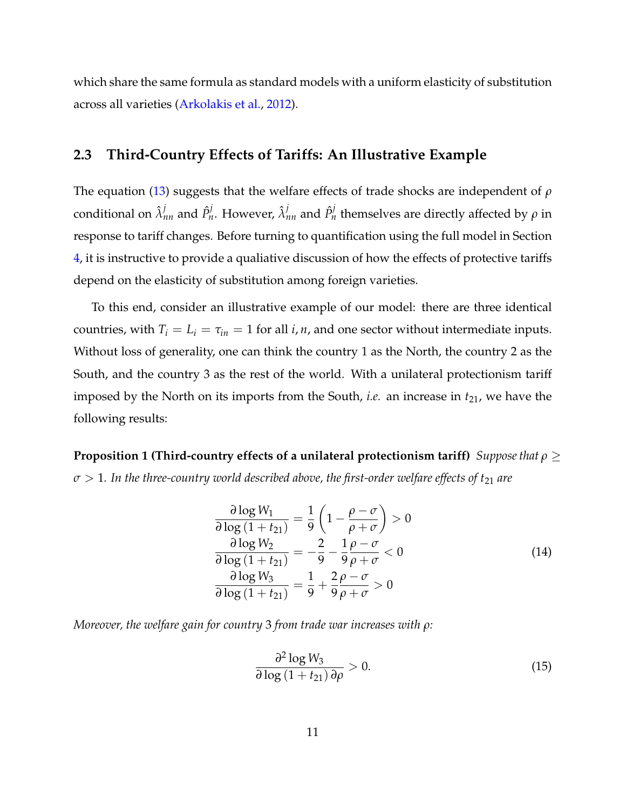which share the same formula as standard models with a uniform elasticity of substitution across all varieties [\(Arkolakis et al.,](#page-30-0) [2012\)](#page-30-0).

#### **2.3 Third-Country Effects of Tariffs: An Illustrative Example**

The equation [\(13\)](#page-9-0) suggests that the welfare effects of trade shocks are independent of *ρ* conditional on  $\hat{\lambda}^j_{nn}$  and  $\hat{P}^j_n$ . However,  $\hat{\lambda}^j_{nn}$  and  $\hat{P}^j_n$  themselves are directly affected by  $ρ$  in response to tariff changes. Before turning to quantification using the full model in Section [4,](#page-20-0) it is instructive to provide a qualiative discussion of how the effects of protective tariffs depend on the elasticity of substitution among foreign varieties.

To this end, consider an illustrative example of our model: there are three identical countries, with  $T_i = L_i = \tau_{in} = 1$  for all *i*, *n*, and one sector without intermediate inputs. Without loss of generality, one can think the country 1 as the North, the country 2 as the South, and the country 3 as the rest of the world. With a unilateral protectionism tariff imposed by the North on its imports from the South, *i.e.* an increase in  $t_{21}$ , we have the following results:

<span id="page-10-0"></span>**Proposition 1 (Third-country effects of a unilateral protectionism tariff)** *Suppose that ρ* ≥  $\sigma > 1$ . In the three-country world described above, the first-order welfare effects of t<sub>21</sub> are

<span id="page-10-1"></span>
$$
\frac{\partial \log W_1}{\partial \log (1 + t_{21})} = \frac{1}{9} \left( 1 - \frac{\rho - \sigma}{\rho + \sigma} \right) > 0
$$
  

$$
\frac{\partial \log W_2}{\partial \log (1 + t_{21})} = -\frac{2}{9} - \frac{1}{9} \frac{\rho - \sigma}{\rho + \sigma} < 0
$$
  

$$
\frac{\partial \log W_3}{\partial \log (1 + t_{21})} = \frac{1}{9} + \frac{2}{9} \frac{\rho - \sigma}{\rho + \sigma} > 0
$$
 (14)

*Moreover, the welfare gain for country* 3 *from trade war increases with ρ:*

$$
\frac{\partial^2 \log W_3}{\partial \log \left(1 + t_{21}\right) \partial \rho} > 0. \tag{15}
$$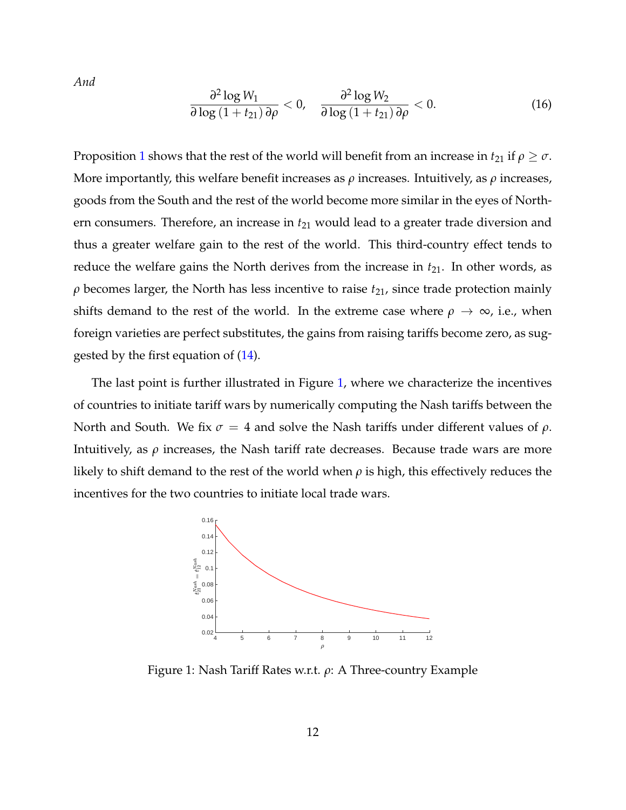*And*

$$
\frac{\partial^2 \log W_1}{\partial \log \left(1 + t_{21}\right) \partial \rho} < 0, \quad \frac{\partial^2 \log W_2}{\partial \log \left(1 + t_{21}\right) \partial \rho} < 0. \tag{16}
$$

Proposition [1](#page-10-0) shows that the rest of the world will benefit from an increase in  $t_{21}$  if  $\rho \geq \sigma$ . More importantly, this welfare benefit increases as *ρ* increases. Intuitively, as *ρ* increases, goods from the South and the rest of the world become more similar in the eyes of Northern consumers. Therefore, an increase in  $t_{21}$  would lead to a greater trade diversion and thus a greater welfare gain to the rest of the world. This third-country effect tends to reduce the welfare gains the North derives from the increase in  $t_{21}$ . In other words, as  $\rho$  becomes larger, the North has less incentive to raise  $t_{21}$ , since trade protection mainly shifts demand to the rest of the world. In the extreme case where  $\rho \to \infty$ , i.e., when foreign varieties are perfect substitutes, the gains from raising tariffs become zero, as suggested by the first equation of [\(14\)](#page-10-1).

The last point is further illustrated in Figure [1,](#page-11-0) where we characterize the incentives of countries to initiate tariff wars by numerically computing the Nash tariffs between the North and South. We fix  $\sigma = 4$  and solve the Nash tariffs under different values of  $\rho$ . Intuitively, as  $\rho$  increases, the Nash tariff rate decreases. Because trade wars are more likely to shift demand to the rest of the world when  $\rho$  is high, this effectively reduces the incentives for the two countries to initiate local trade wars.



<span id="page-11-0"></span>Figure 1: Nash Tariff Rates w.r.t. *ρ*: A Three-country Example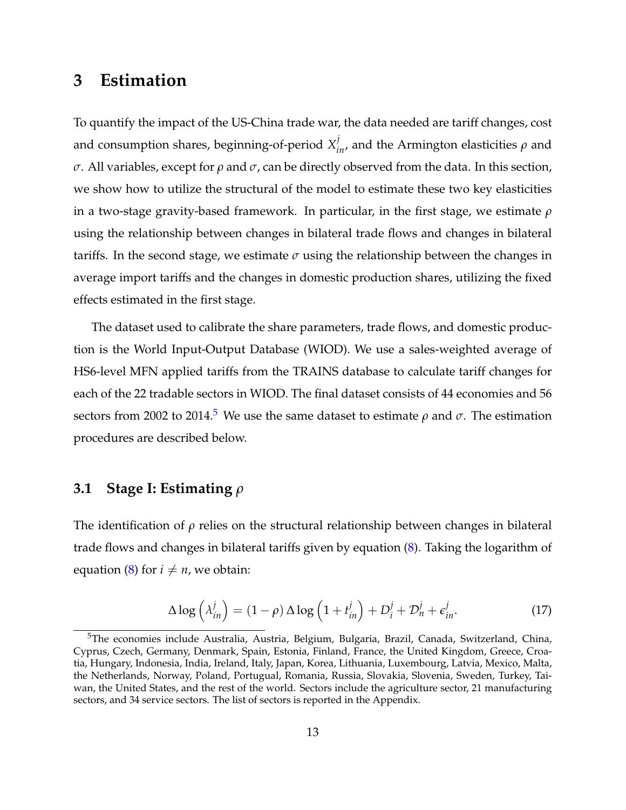### <span id="page-12-0"></span>**3 Estimation**

To quantify the impact of the US-China trade war, the data needed are tariff changes, cost and consumption shares, beginning-of-period  $X_{in}^j$ , and the Armington elasticities  $\rho$  and *σ*. All variables, except for *ρ* and *σ*, can be directly observed from the data. In this section, we show how to utilize the structural of the model to estimate these two key elasticities in a two-stage gravity-based framework. In particular, in the first stage, we estimate *ρ* using the relationship between changes in bilateral trade flows and changes in bilateral tariffs. In the second stage, we estimate  $\sigma$  using the relationship between the changes in average import tariffs and the changes in domestic production shares, utilizing the fixed effects estimated in the first stage.

The dataset used to calibrate the share parameters, trade flows, and domestic production is the World Input-Output Database (WIOD). We use a sales-weighted average of HS6-level MFN applied tariffs from the TRAINS database to calculate tariff changes for each of the 22 tradable sectors in WIOD. The final dataset consists of 44 economies and 56 sectors from 2002 to 2014.<sup>[5](#page-12-1)</sup> We use the same dataset to estimate  $\rho$  and  $\sigma$ . The estimation procedures are described below.

#### **3.1 Stage I: Estimating** *ρ*

The identification of *ρ* relies on the structural relationship between changes in bilateral trade flows and changes in bilateral tariffs given by equation [\(8\)](#page-9-1). Taking the logarithm of equation [\(8\)](#page-9-1) for  $i \neq n$ , we obtain:

<span id="page-12-2"></span>
$$
\Delta \log \left( \lambda_{in}^{j} \right) = (1 - \rho) \Delta \log \left( 1 + t_{in}^{j} \right) + D_{i}^{j} + \mathcal{D}_{n}^{j} + \epsilon_{in}^{j}.
$$
 (17)

<span id="page-12-1"></span><sup>&</sup>lt;sup>5</sup>The economies include Australia, Austria, Belgium, Bulgaria, Brazil, Canada, Switzerland, China, Cyprus, Czech, Germany, Denmark, Spain, Estonia, Finland, France, the United Kingdom, Greece, Croatia, Hungary, Indonesia, India, Ireland, Italy, Japan, Korea, Lithuania, Luxembourg, Latvia, Mexico, Malta, the Netherlands, Norway, Poland, Portugual, Romania, Russia, Slovakia, Slovenia, Sweden, Turkey, Taiwan, the United States, and the rest of the world. Sectors include the agriculture sector, 21 manufacturing sectors, and 34 service sectors. The list of sectors is reported in the Appendix.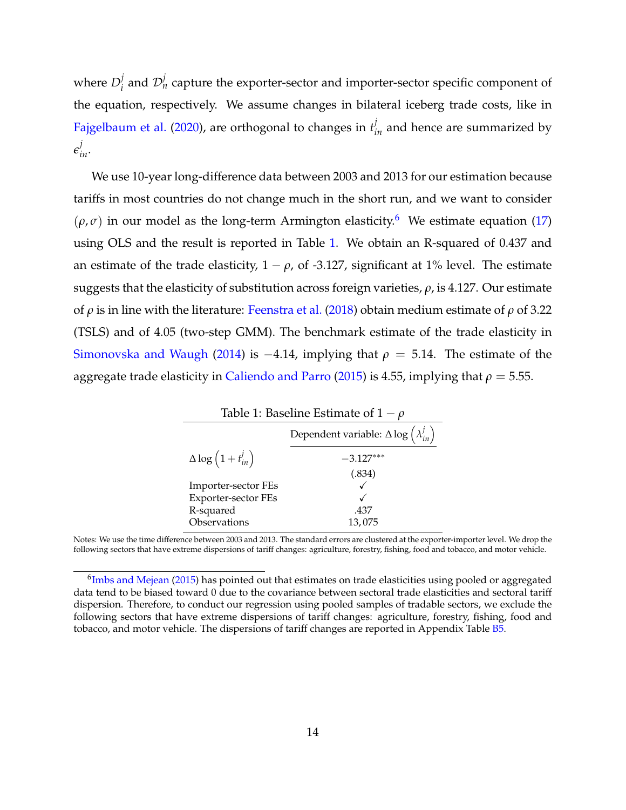where  $D_i^j$  $\mathcal{D}_i^j$  and  $\mathcal{D}_n^j$  capture the exporter-sector and importer-sector specific component of the equation, respectively. We assume changes in bilateral iceberg trade costs, like in [Fajgelbaum et al.](#page-31-1) [\(2020\)](#page-31-1), are orthogonal to changes in  $t_{in}^j$  and hence are summarized by  $\epsilon^j_{in}$ .

We use 10-year long-difference data between 2003 and 2013 for our estimation because tariffs in most countries do not change much in the short run, and we want to consider  $(\rho, \sigma)$  in our model as the long-term Armington elasticity.<sup>[6](#page-13-0)</sup> We estimate equation [\(17\)](#page-12-2) using OLS and the result is reported in Table [1.](#page-13-1) We obtain an R-squared of 0.437 and an estimate of the trade elasticity,  $1 - \rho$ , of -3.127, significant at 1% level. The estimate suggests that the elasticity of substitution across foreign varieties, *ρ*, is 4.127. Our estimate of *ρ* is in line with the literature: [Feenstra et al.](#page-31-0) [\(2018\)](#page-31-0) obtain medium estimate of *ρ* of 3.22 (TSLS) and of 4.05 (two-step GMM). The benchmark estimate of the trade elasticity in [Simonovska and Waugh](#page-32-2) [\(2014\)](#page-32-2) is  $-4.14$ , implying that  $\rho = 5.14$ . The estimate of the aggregate trade elasticity in [Caliendo and Parro](#page-30-7) [\(2015\)](#page-30-7) is 4.55, implying that  $\rho = 5.55$ .

<span id="page-13-1"></span>

| Table 1: Baseline Estimate of $1-\rho$      |                                                                   |  |  |  |
|---------------------------------------------|-------------------------------------------------------------------|--|--|--|
|                                             | Dependent variable: $\Delta \log \left( \lambda_{in}^{j} \right)$ |  |  |  |
| $\Delta \log \left( 1 + t_{in}^{j} \right)$ | $-3.127***$                                                       |  |  |  |
|                                             | (.834)                                                            |  |  |  |
| Importer-sector FEs                         |                                                                   |  |  |  |
| Exporter-sector FEs                         |                                                                   |  |  |  |
| R-squared                                   | .437                                                              |  |  |  |
| Observations                                | 13,075                                                            |  |  |  |

Notes: We use the time difference between 2003 and 2013. The standard errors are clustered at the exporter-importer level. We drop the following sectors that have extreme dispersions of tariff changes: agriculture, forestry, fishing, food and tobacco, and motor vehicle.

<span id="page-13-0"></span> $^6$ [Imbs and Mejean](#page-31-5) [\(2015\)](#page-31-5) has pointed out that estimates on trade elasticities using pooled or aggregated data tend to be biased toward 0 due to the covariance between sectoral trade elasticities and sectoral tariff dispersion. Therefore, to conduct our regression using pooled samples of tradable sectors, we exclude the following sectors that have extreme dispersions of tariff changes: agriculture, forestry, fishing, food and tobacco, and motor vehicle. The dispersions of tariff changes are reported in Appendix Table [B5.](#page-19-0)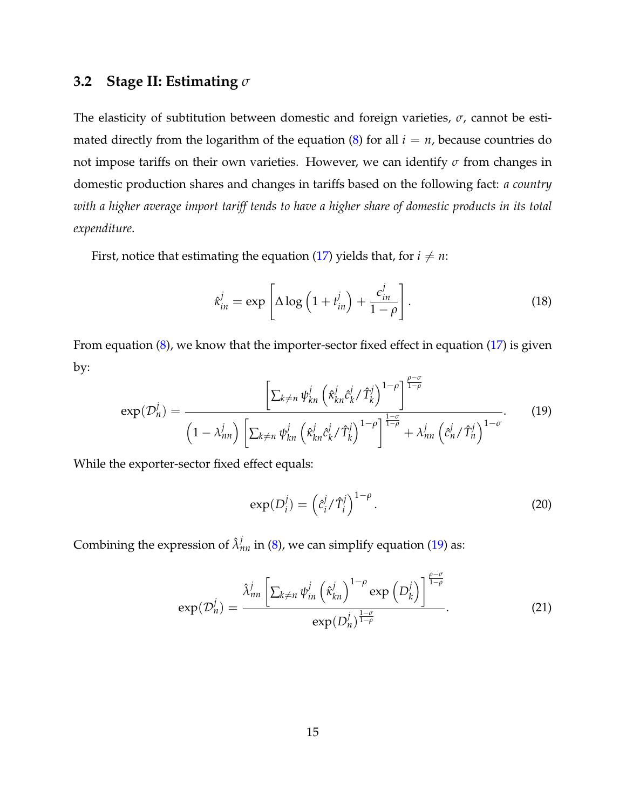#### <span id="page-14-1"></span>**3.2 Stage II: Estimating** *σ*

The elasticity of subtitution between domestic and foreign varieties, *σ*, cannot be estimated directly from the logarithm of the equation  $(8)$  for all  $i = n$ , because countries do not impose tariffs on their own varieties. However, we can identify *σ* from changes in domestic production shares and changes in tariffs based on the following fact: *a country with a higher average import tariff tends to have a higher share of domestic products in its total expenditure*.

First, notice that estimating the equation [\(17\)](#page-12-2) yields that, for  $i \neq n$ :

$$
\hat{\kappa}_{in}^j = \exp\left[\Delta \log\left(1 + t_{in}^j\right) + \frac{\epsilon_{in}^j}{1 - \rho}\right].\tag{18}
$$

From equation  $(8)$ , we know that the importer-sector fixed effect in equation  $(17)$  is given by: *<sup>ρ</sup>*−*<sup>σ</sup>*

<span id="page-14-0"></span>
$$
\exp(\mathcal{D}_n^j) = \frac{\left[\sum_{k \neq n} \psi_{kn}^j \left(\hat{\kappa}_{kn}^j \hat{c}_k^j / \hat{T}_k^j\right)^{1-\rho}\right]^{\frac{\rho}{1-\rho}}}{\left(1 - \lambda_{nn}^j\right) \left[\sum_{k \neq n} \psi_{kn}^j \left(\hat{\kappa}_{kn}^j \hat{c}_k^j / \hat{T}_k^j\right)^{1-\rho}\right]^{\frac{1-\sigma}{1-\rho}} + \lambda_{nn}^j \left(\hat{c}_n^j / \hat{T}_n^j\right)^{1-\sigma}}.
$$
 (19)

While the exporter-sector fixed effect equals:

$$
\exp(D_i^j) = \left(\hat{c}_i^j / \hat{T}_i^j\right)^{1-\rho}.\tag{20}
$$

Combining the expression of  $\hat{\lambda}^j_{nn}$  in [\(8\)](#page-9-1), we can simplify equation [\(19\)](#page-14-0) as:

$$
\exp(\mathcal{D}_n^j) = \frac{\hat{\lambda}_{nn}^j \left[ \sum_{k \neq n} \psi_{in}^j \left( \hat{\kappa}_{kn}^j \right)^{1-\rho} \exp\left( D_k^j \right) \right]^{\frac{\rho-\sigma}{1-\rho}}}{\exp(D_n^j)^{\frac{1-\sigma}{1-\rho}}}.
$$
(21)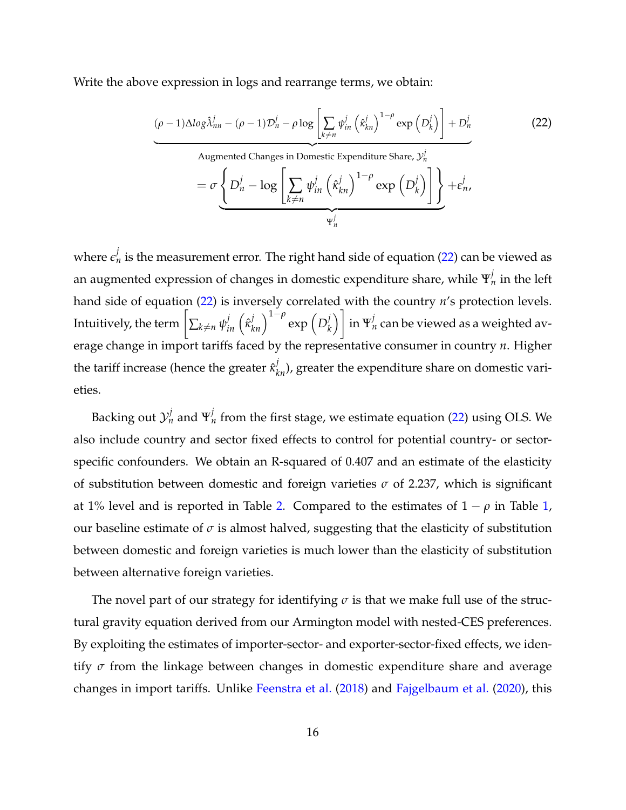Write the above expression in logs and rearrange terms, we obtain:

<span id="page-15-0"></span>
$$
(\rho - 1)\Delta \log \hat{\lambda}_{nn}^{j} - (\rho - 1)\mathcal{D}_{n}^{j} - \rho \log \left[\sum_{k \neq n} \psi_{in}^{j} \left(\hat{\kappa}_{kn}^{j}\right)^{1-\rho} \exp \left(D_{k}^{j}\right)\right] + D_{n}^{j}
$$
\nAugmented Changes in Domestic Expenditure Share,  $\mathcal{Y}_{n}^{j}$ 

\n
$$
= \sigma \left\{ D_{n}^{j} - \log \left[\sum_{k \neq n} \psi_{in}^{j} \left(\hat{\kappa}_{kn}^{j}\right)^{1-\rho} \exp \left(D_{k}^{j}\right)\right] \right\} + \epsilon_{n}^{j},
$$
\n
$$
\Psi_{n}^{j}
$$
\n(22)

where  $\epsilon_n^j$  is the measurement error. The right hand side of equation [\(22\)](#page-15-0) can be viewed as an augmented expression of changes in domestic expenditure share, while  $\Psi_n^j$  in the left hand side of equation [\(22\)](#page-15-0) is inversely correlated with the country *n*'s protection levels. Intuitively, the term  $\left[\sum_{k\neq n}\psi_{in}^{j}\left(\hat{\kappa}_{kn}^{j}\right)^{1-\rho}\exp\left(D_{k}^{j}\right)\right]$ *k*  $\setminus$ in  $\Psi_n^j$  can be viewed as a weighted average change in import tariffs faced by the representative consumer in country *n*. Higher the tariff increase (hence the greater  $\hat{\kappa}_{kn}^j$ ), greater the expenditure share on domestic varieties.

Backing out  ${\cal Y}_n^j$  and  $\Psi_n^j$  from the first stage, we estimate equation [\(22\)](#page-15-0) using OLS. We also include country and sector fixed effects to control for potential country- or sectorspecific confounders. We obtain an R-squared of 0.407 and an estimate of the elasticity of substitution between domestic and foreign varieties  $\sigma$  of 2.237, which is significant at 1% level and is reported in Table [2.](#page-16-0) Compared to the estimates of  $1 - \rho$  in Table [1,](#page-13-1) our baseline estimate of  $\sigma$  is almost halved, suggesting that the elasticity of substitution between domestic and foreign varieties is much lower than the elasticity of substitution between alternative foreign varieties.

The novel part of our strategy for identifying  $\sigma$  is that we make full use of the structural gravity equation derived from our Armington model with nested-CES preferences. By exploiting the estimates of importer-sector- and exporter-sector-fixed effects, we identify *σ* from the linkage between changes in domestic expenditure share and average changes in import tariffs. Unlike [Feenstra et al.](#page-31-0) [\(2018\)](#page-31-0) and [Fajgelbaum et al.](#page-31-1) [\(2020\)](#page-31-1), this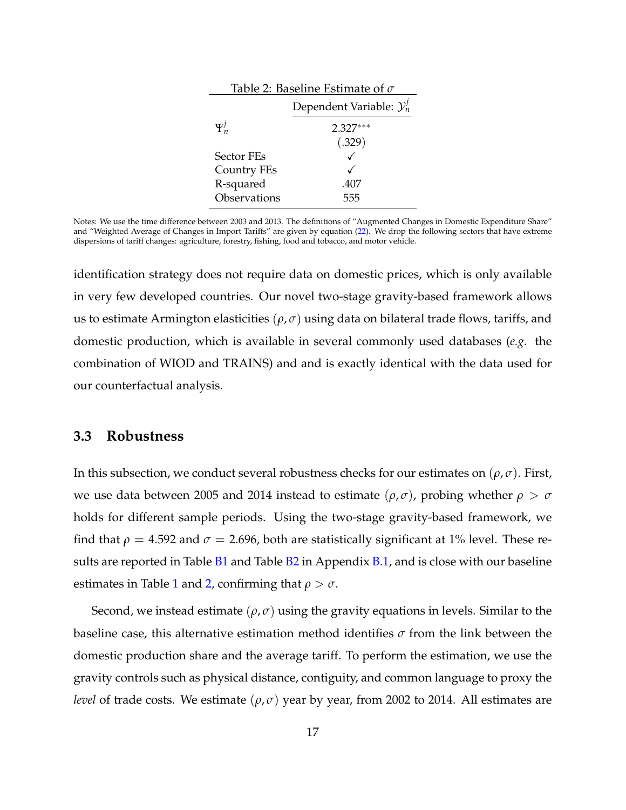<span id="page-16-0"></span>

| Table 2: Baseline Estimate of $\sigma$ |                                       |  |  |  |
|----------------------------------------|---------------------------------------|--|--|--|
|                                        | Dependent Variable: $\mathcal{Y}_n^j$ |  |  |  |
| $\Psi_n^j$                             | $2.327***$                            |  |  |  |
|                                        | (.329)                                |  |  |  |
| Sector FEs                             |                                       |  |  |  |
| Country FEs                            |                                       |  |  |  |
| R-squared                              | .407                                  |  |  |  |
| Observations                           | 555                                   |  |  |  |

Notes: We use the time difference between 2003 and 2013. The definitions of "Augmented Changes in Domestic Expenditure Share" and "Weighted Average of Changes in Import Tariffs" are given by equation [\(22\)](#page-15-0). We drop the following sectors that have extreme dispersions of tariff changes: agriculture, forestry, fishing, food and tobacco, and motor vehicle.

identification strategy does not require data on domestic prices, which is only available in very few developed countries. Our novel two-stage gravity-based framework allows us to estimate Armington elasticities  $(\rho, \sigma)$  using data on bilateral trade flows, tariffs, and domestic production, which is available in several commonly used databases (*e.g.* the combination of WIOD and TRAINS) and and is exactly identical with the data used for our counterfactual analysis.

#### **3.3 Robustness**

In this subsection, we conduct several robustness checks for our estimates on  $(\rho, \sigma)$ . First, we use data between 2005 and 2014 instead to estimate ( $ρ, σ$ ), probing whether  $ρ > σ$ holds for different sample periods. Using the two-stage gravity-based framework, we find that  $\rho = 4.592$  and  $\sigma = 2.696$ , both are statistically significant at 1% level. These results are reported in Table  $B1$  and Table  $B2$  in Appendix  $B.1$ , and is close with our baseline estimates in Table [1](#page-13-1) and [2,](#page-16-0) confirming that  $\rho > \sigma$ .

Second, we instead estimate (*ρ*, *σ*) using the gravity equations in levels. Similar to the baseline case, this alternative estimation method identifies *σ* from the link between the domestic production share and the average tariff. To perform the estimation, we use the gravity controls such as physical distance, contiguity, and common language to proxy the *level* of trade costs. We estimate  $(\rho, \sigma)$  year by year, from 2002 to 2014. All estimates are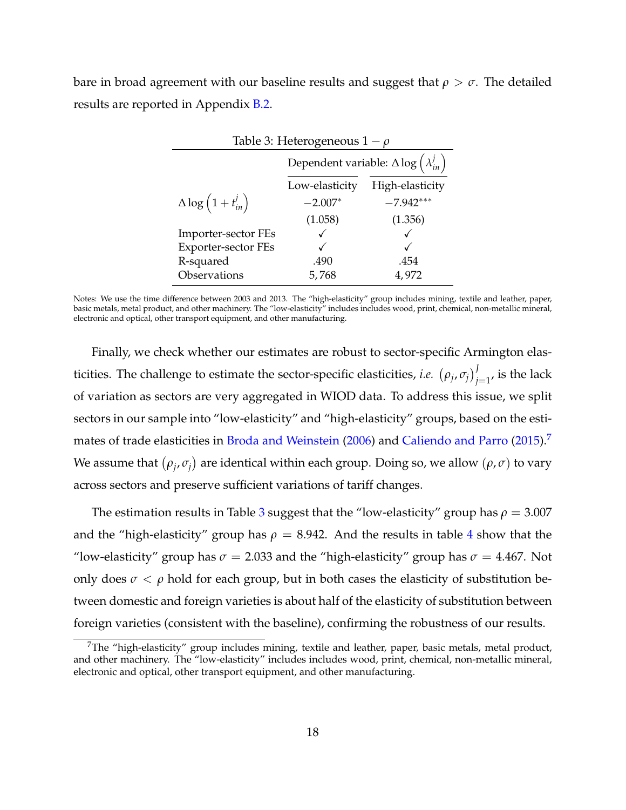bare in broad agreement with our baseline results and suggest that  $\rho > \sigma$ . The detailed results are reported in Appendix [B.2.](#page-37-0)

<span id="page-17-1"></span>

| Table 3: Heterogeneous $1 - \rho$           |                                                                   |             |  |  |  |
|---------------------------------------------|-------------------------------------------------------------------|-------------|--|--|--|
|                                             | Dependent variable: $\Delta \log \left( \lambda_{in}^{j} \right)$ |             |  |  |  |
|                                             | High-elasticity<br>Low-elasticity                                 |             |  |  |  |
| $\Delta \log \left( 1 + t_{in}^{j} \right)$ | $-2.007*$                                                         | $-7.942***$ |  |  |  |
|                                             | (1.058)                                                           | (1.356)     |  |  |  |
| Importer-sector FEs                         |                                                                   |             |  |  |  |
| <b>Exporter-sector FEs</b>                  |                                                                   |             |  |  |  |
| R-squared                                   | .490                                                              | .454        |  |  |  |
| Observations                                | 5,768                                                             | 4,972       |  |  |  |

Notes: We use the time difference between 2003 and 2013. The "high-elasticity" group includes mining, textile and leather, paper, basic metals, metal product, and other machinery. The "low-elasticity" includes includes wood, print, chemical, non-metallic mineral, electronic and optical, other transport equipment, and other manufacturing.

Finally, we check whether our estimates are robust to sector-specific Armington elasticities. The challenge to estimate the sector-specific elasticities, *i.e.*  $(\rho_j, \sigma_j)_{j=1}^J$ , is the lack of variation as sectors are very aggregated in WIOD data. To address this issue, we split sectors in our sample into "low-elasticity" and "high-elasticity" groups, based on the esti-mates of trade elasticities in [Broda and Weinstein](#page-30-8) [\(2006\)](#page-30-8) and [Caliendo and Parro](#page-30-7) [\(2015\)](#page-30-7).<sup>[7](#page-17-0)</sup> We assume that  $(\rho_j, \sigma_j)$  are identical within each group. Doing so, we allow  $(\rho, \sigma)$  to vary across sectors and preserve sufficient variations of tariff changes.

The estimation results in Table [3](#page-17-1) suggest that the "low-elasticity" group has  $\rho = 3.007$ and the "high-elasticity" group has  $\rho = 8.942$  $\rho = 8.942$  $\rho = 8.942$ . And the results in table 4 show that the "low-elasticity" group has  $\sigma = 2.033$  and the "high-elasticity" group has  $\sigma = 4.467$ . Not only does  $\sigma < \rho$  hold for each group, but in both cases the elasticity of substitution between domestic and foreign varieties is about half of the elasticity of substitution between foreign varieties (consistent with the baseline), confirming the robustness of our results.

<span id="page-17-0"></span><sup>&</sup>lt;sup>7</sup>The "high-elasticity" group includes mining, textile and leather, paper, basic metals, metal product, and other machinery. The "low-elasticity" includes includes wood, print, chemical, non-metallic mineral, electronic and optical, other transport equipment, and other manufacturing.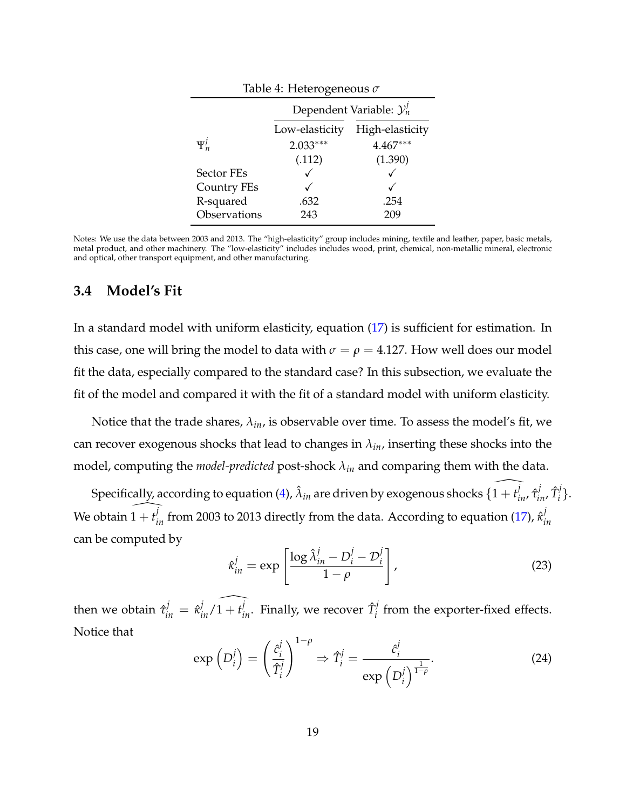<span id="page-18-0"></span>

| Table 4: Heterogeneous $\sigma$ |                                       |            |  |  |  |  |
|---------------------------------|---------------------------------------|------------|--|--|--|--|
|                                 | Dependent Variable: $\mathcal{Y}_n^j$ |            |  |  |  |  |
|                                 | High-elasticity<br>Low-elasticity     |            |  |  |  |  |
| $\Psi_n^j$                      | $2.033***$                            | $4.467***$ |  |  |  |  |
|                                 | (.112)                                | (1.390)    |  |  |  |  |
| Sector FEs                      |                                       |            |  |  |  |  |
| <b>Country FEs</b>              |                                       |            |  |  |  |  |
| R-squared                       | .632<br>.254                          |            |  |  |  |  |
| Observations                    | 243                                   |            |  |  |  |  |

Notes: We use the data between 2003 and 2013. The "high-elasticity" group includes mining, textile and leather, paper, basic metals, metal product, and other machinery. The "low-elasticity" includes includes wood, print, chemical, non-metallic mineral, electronic and optical, other transport equipment, and other manufacturing.

#### **3.4 Model's Fit**

In a standard model with uniform elasticity, equation [\(17\)](#page-12-2) is sufficient for estimation. In this case, one will bring the model to data with  $\sigma = \rho = 4.127$ . How well does our model fit the data, especially compared to the standard case? In this subsection, we evaluate the fit of the model and compared it with the fit of a standard model with uniform elasticity.

Notice that the trade shares, *λin*, is observable over time. To assess the model's fit, we can recover exogenous shocks that lead to changes in *λin*, inserting these shocks into the model, computing the *model-predicted* post-shock *λin* and comparing them with the data.

Specifically, according to equation [\(4\)](#page-8-3),  $\hat{\lambda}_{in}$  are driven by exogenous shocks  $\{\widehat{1+t_{in}^j}, \hat{\tau}_{in}^j, \hat{T}_{in}^j\}$ *i* }. We obtain  $\widehat{1+t^j_{in}}$  from 2003 to 2013 directly from the data. According to equation [\(17\)](#page-12-2),  $\hat{\kappa}^j_i$ *in* can be computed by

$$
\hat{\kappa}_{in}^j = \exp\left[\frac{\log \hat{\lambda}_{in}^j - D_i^j - \mathcal{D}_i^j}{1 - \rho}\right],\tag{23}
$$

then we obtain  $\hat{\tau}_{in}^j = \hat{\kappa}_{in}^j/\widehat{1+t_{in}^j}$ . Finally, we recover  $\hat{T}_i^j$  $\mathbf{F}_i^{\prime}$  from the exporter-fixed effects. Notice that

<span id="page-18-1"></span>
$$
\exp\left(D_i^j\right) = \left(\frac{\hat{c}_i^j}{\hat{T}_i^j}\right)^{1-\rho} \Rightarrow \hat{T}_i^j = \frac{\hat{c}_i^j}{\exp\left(D_i^j\right)^{\frac{1}{1-\rho}}}.\tag{24}
$$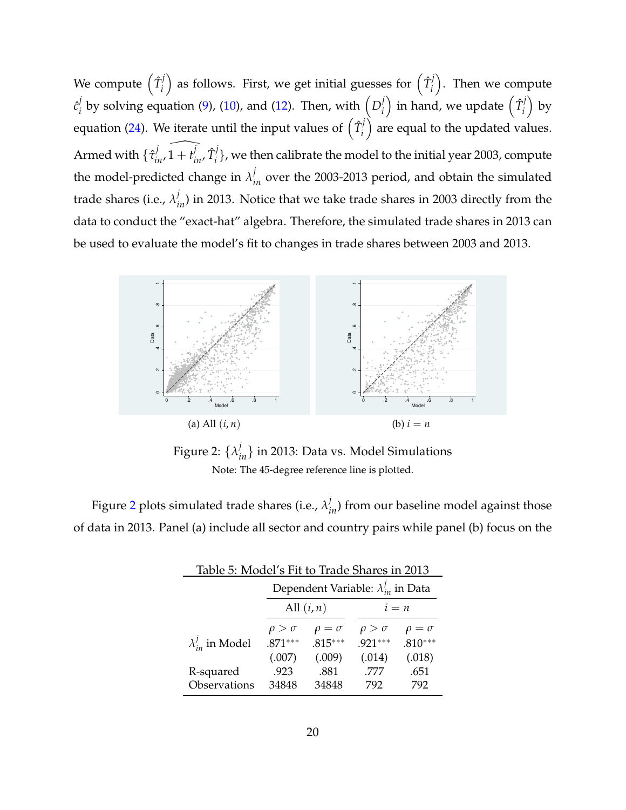We compute  $(\hat{T}^j_i)$ *i* ) as follows. First, we get initial guesses for  $(\hat{T}_i^j)$ *i* . Then we compute  $\hat{c}^j_i$  $\frac{d}{dt}$  by solving equation [\(9\)](#page-9-2), [\(10\)](#page-9-3), and [\(12\)](#page-9-4). Then, with  $\left( D_i^j \right)$ *i* ) in hand, we update  $(\hat{T}_i^j)$ *i*  $\big)$  by equation [\(24\)](#page-18-1). We iterate until the input values of  $\left(\hat{T}^j_i\right)$ *i* ) are equal to the updated values. Armed with  $\{\hat{\tau}_{in}^j, \hat{1} + t_{in}^j, \hat{T}_i^j\}$  $\mathcal{C}_i^{\prime}$ }, we then calibrate the model to the initial year 2003, compute the model-predicted change in  $\lambda_{in}^j$  over the 2003-2013 period, and obtain the simulated trade shares (i.e.,  $\lambda_{in}^j$ ) in 2013. Notice that we take trade shares in 2003 directly from the data to conduct the "exact-hat" algebra. Therefore, the simulated trade shares in 2013 can be used to evaluate the model's fit to changes in trade shares between 2003 and 2013.



<span id="page-19-1"></span>Figure 2:  $\{\lambda_{in}^j\}$  in 2013: Data vs. Model Simulations Note: The 45-degree reference line is plotted.

Figure [2](#page-19-1) plots simulated trade shares (i.e.,  $\lambda_{in}^j$ ) from our baseline model against those of data in 2013. Panel (a) include all sector and country pairs while panel (b) focus on the

<span id="page-19-0"></span>

| Table 5: Model's Fit to Trade Shares in 2013 |                 |                                                |                 |                 |  |  |
|----------------------------------------------|-----------------|------------------------------------------------|-----------------|-----------------|--|--|
|                                              |                 | Dependent Variable: $\lambda_{in}^{j}$ in Data |                 |                 |  |  |
|                                              |                 | All $(i, n)$<br>$i = n$                        |                 |                 |  |  |
|                                              | $\rho > \sigma$ | $\rho = \sigma$                                | $\rho > \sigma$ | $\rho = \sigma$ |  |  |
| $\lambda_{in}^j$ in Model                    | $.871***$       | $.815***$                                      | $.921***$       | $.810***$       |  |  |
|                                              | (.007)          | (.009)                                         | (.014)          | (.018)          |  |  |
| R-squared                                    | .923            | .881                                           | .777            | .651            |  |  |
| Observations                                 | 34848           | 34848                                          | 792             | 792             |  |  |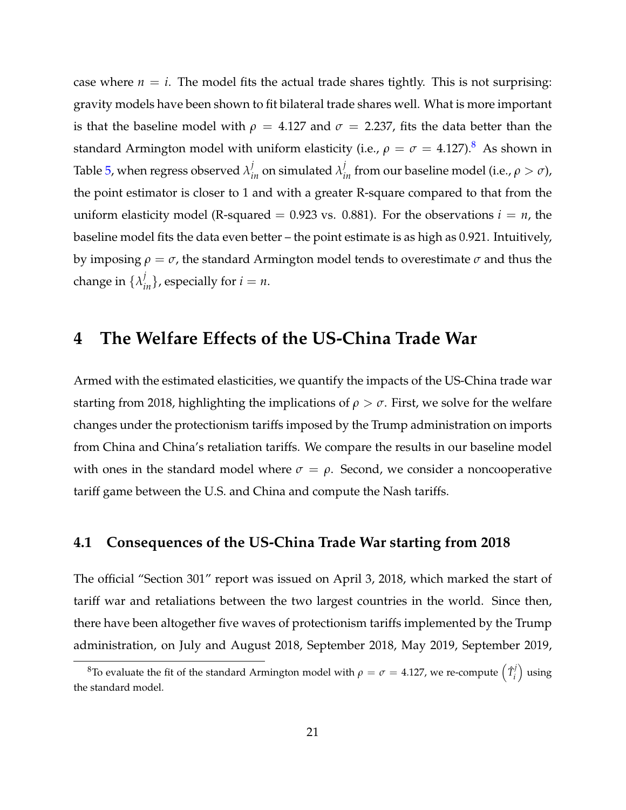case where  $n = i$ . The model fits the actual trade shares tightly. This is not surprising: gravity models have been shown to fit bilateral trade shares well. What is more important is that the baseline model with  $\rho = 4.127$  and  $\sigma = 2.237$ , fits the data better than the standard Armington model with uniform elasticity (i.e.,  $\rho = \sigma = 4.127$ ).<sup>[8](#page-20-1)</sup> As shown in Table [5,](#page-19-0) when regress observed  $\lambda_{in}^j$  on simulated  $\lambda_{in}^j$  from our baseline model (i.e.,  $\rho > \sigma$ ), the point estimator is closer to 1 and with a greater R-square compared to that from the uniform elasticity model (R-squared  $= 0.923$  vs. 0.881). For the observations  $i = n$ , the baseline model fits the data even better – the point estimate is as high as 0.921. Intuitively, by imposing  $\rho = \sigma$ , the standard Armington model tends to overestimate  $\sigma$  and thus the change in  $\{\lambda_{in}^j\}$ , especially for  $i = n$ .

### <span id="page-20-0"></span>**4 The Welfare Effects of the US-China Trade War**

Armed with the estimated elasticities, we quantify the impacts of the US-China trade war starting from 2018, highlighting the implications of  $\rho > \sigma$ . First, we solve for the welfare changes under the protectionism tariffs imposed by the Trump administration on imports from China and China's retaliation tariffs. We compare the results in our baseline model with ones in the standard model where  $\sigma = \rho$ . Second, we consider a noncooperative tariff game between the U.S. and China and compute the Nash tariffs.

#### **4.1 Consequences of the US-China Trade War starting from 2018**

The official "Section 301" report was issued on April 3, 2018, which marked the start of tariff war and retaliations between the two largest countries in the world. Since then, there have been altogether five waves of protectionism tariffs implemented by the Trump administration, on July and August 2018, September 2018, May 2019, September 2019,

<span id="page-20-1"></span><sup>&</sup>lt;sup>8</sup>To evaluate the fit of the standard Armington model with  $\rho = \sigma = 4.127$ , we re-compute  $\left(\hat{T}^j_i\right)$  $\binom{j}{i}$  using the standard model.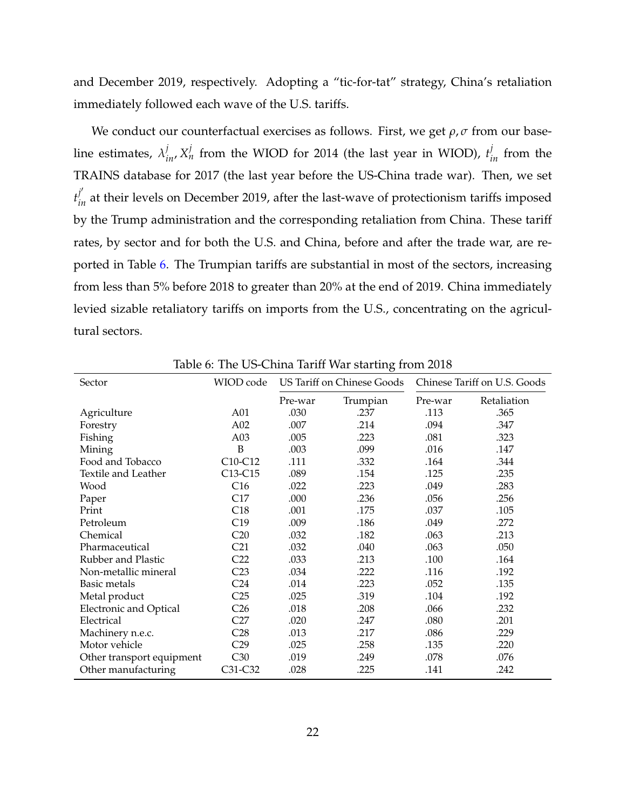and December 2019, respectively. Adopting a "tic-for-tat" strategy, China's retaliation immediately followed each wave of the U.S. tariffs.

We conduct our counterfactual exercises as follows. First, we get *ρ*, *σ* from our baseline estimates,  $\lambda_{in}^j$ ,  $X_n^j$  from the WIOD for 2014 (the last year in WIOD),  $t_{in}^j$  from the TRAINS database for 2017 (the last year before the US-China trade war). Then, we set  $t_{in}^{j'}$  at their levels on December 2019, after the last-wave of protectionism tariffs imposed by the Trump administration and the corresponding retaliation from China. These tariff rates, by sector and for both the U.S. and China, before and after the trade war, are reported in Table [6.](#page-21-0) The Trumpian tariffs are substantial in most of the sectors, increasing from less than 5% before 2018 to greater than 20% at the end of 2019. China immediately levied sizable retaliatory tariffs on imports from the U.S., concentrating on the agricultural sectors.

| Sector                        | WIOD code       | US Tariff on Chinese Goods |          |         | Chinese Tariff on U.S. Goods |
|-------------------------------|-----------------|----------------------------|----------|---------|------------------------------|
|                               |                 | Pre-war                    | Trumpian | Pre-war | Retaliation                  |
| Agriculture                   | A01             | .030                       | .237     | .113    | .365                         |
| Forestry                      | A02             | .007                       | .214     | .094    | .347                         |
| Fishing                       | A03             | .005                       | .223     | .081    | .323                         |
| Mining                        | B               | .003                       | .099     | .016    | .147                         |
| Food and Tobacco              | C10-C12         | .111                       | .332     | .164    | .344                         |
| Textile and Leather           | C13-C15         | .089                       | .154     | .125    | .235                         |
| Wood                          | C16             | .022                       | .223     | .049    | .283                         |
| Paper                         | C17             | .000                       | .236     | .056    | .256                         |
| Print                         | C18             | .001                       | .175     | .037    | .105                         |
| Petroleum                     | C19             | .009                       | .186     | .049    | .272                         |
| Chemical                      | C20             | .032                       | .182     | .063    | .213                         |
| Pharmaceutical                | C <sub>21</sub> | .032                       | .040     | .063    | .050                         |
| Rubber and Plastic            | C <sub>22</sub> | .033                       | .213     | .100    | .164                         |
| Non-metallic mineral          | C <sub>23</sub> | .034                       | .222     | .116    | .192                         |
| Basic metals                  | C <sub>24</sub> | .014                       | .223     | .052    | .135                         |
| Metal product                 | C25             | .025                       | .319     | .104    | .192                         |
| <b>Electronic and Optical</b> | C <sub>26</sub> | .018                       | .208     | .066    | .232                         |
| Electrical                    | C27             | .020                       | .247     | .080    | .201                         |
| Machinery n.e.c.              | C <sub>28</sub> | .013                       | .217     | .086    | .229                         |
| Motor vehicle                 | C <sub>29</sub> | .025                       | .258     | .135    | .220                         |
| Other transport equipment     | C30             | .019                       | .249     | .078    | .076                         |
| Other manufacturing           | C31-C32         | .028                       | .225     | .141    | .242                         |

<span id="page-21-0"></span>Table 6: The US-China Tariff War starting from 2018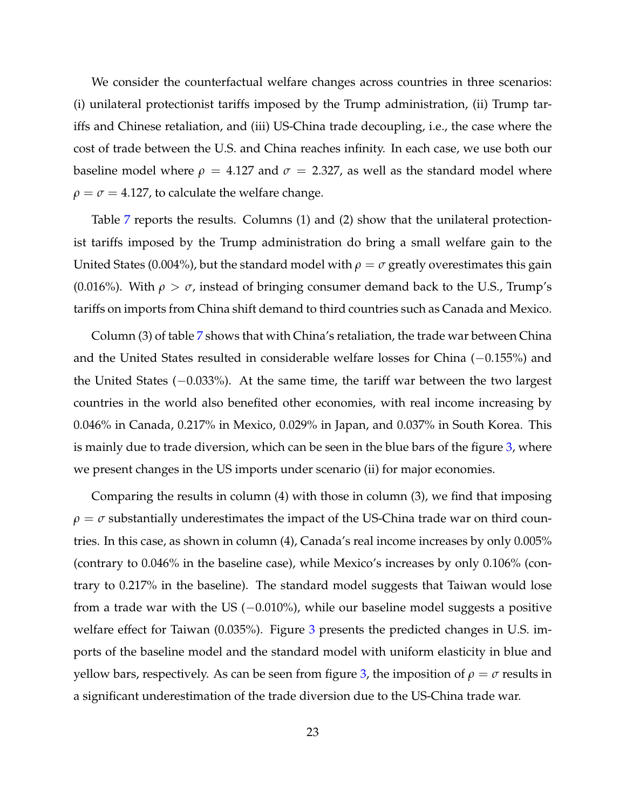We consider the counterfactual welfare changes across countries in three scenarios: (i) unilateral protectionist tariffs imposed by the Trump administration, (ii) Trump tariffs and Chinese retaliation, and (iii) US-China trade decoupling, i.e., the case where the cost of trade between the U.S. and China reaches infinity. In each case, we use both our baseline model where  $\rho = 4.127$  and  $\sigma = 2.327$ , as well as the standard model where  $\rho = \sigma = 4.127$ , to calculate the welfare change.

Table [7](#page-23-0) reports the results. Columns (1) and (2) show that the unilateral protectionist tariffs imposed by the Trump administration do bring a small welfare gain to the United States (0.004%), but the standard model with  $\rho = \sigma$  greatly overestimates this gain (0.016%). With  $\rho > \sigma$ , instead of bringing consumer demand back to the U.S., Trump's tariffs on imports from China shift demand to third countries such as Canada and Mexico.

Column (3) of table [7](#page-23-0) shows that with China's retaliation, the trade war between China and the United States resulted in considerable welfare losses for China (−0.155%) and the United States (−0.033%). At the same time, the tariff war between the two largest countries in the world also benefited other economies, with real income increasing by 0.046% in Canada, 0.217% in Mexico, 0.029% in Japan, and 0.037% in South Korea. This is mainly due to trade diversion, which can be seen in the blue bars of the figure [3,](#page-24-0) where we present changes in the US imports under scenario (ii) for major economies.

Comparing the results in column (4) with those in column (3), we find that imposing  $\rho = \sigma$  substantially underestimates the impact of the US-China trade war on third countries. In this case, as shown in column (4), Canada's real income increases by only 0.005% (contrary to 0.046% in the baseline case), while Mexico's increases by only 0.106% (contrary to 0.217% in the baseline). The standard model suggests that Taiwan would lose from a trade war with the US  $(-0.010\%)$ , while our baseline model suggests a positive welfare effect for Taiwan (0.0[3](#page-24-0)5%). Figure 3 presents the predicted changes in U.S. imports of the baseline model and the standard model with uniform elasticity in blue and yellow bars, respectively. As can be seen from figure [3,](#page-24-0) the imposition of  $\rho = \sigma$  results in a significant underestimation of the trade diversion due to the US-China trade war.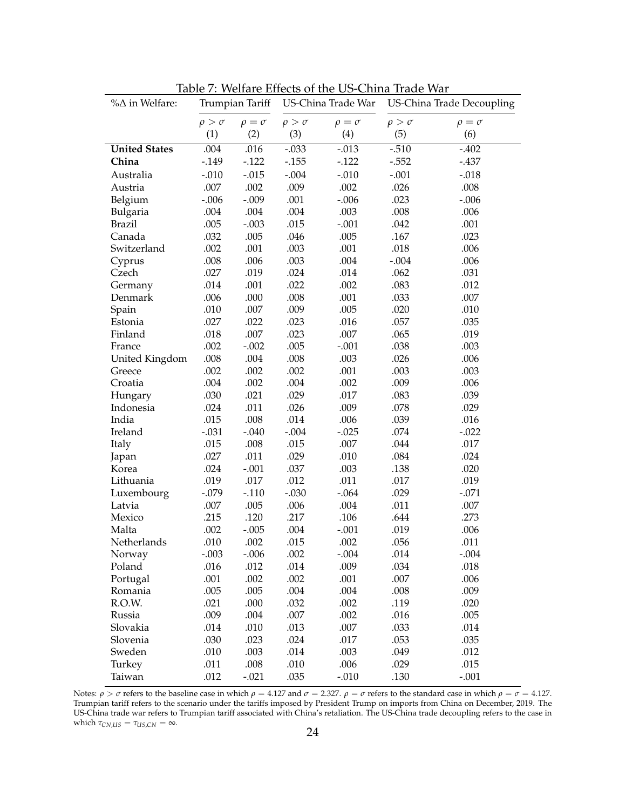| $% \triangle in Welfare:$ | Trumpian Tariff |                 | US-China Trade War |                 | US-China Trade Decoupling |                 |
|---------------------------|-----------------|-----------------|--------------------|-----------------|---------------------------|-----------------|
|                           | $\rho > \sigma$ | $\rho = \sigma$ | $\rho > \sigma$    | $\rho = \sigma$ | $\rho > \sigma$           | $\rho = \sigma$ |
|                           | (1)             | (2)             | (3)                | (4)             | (5)                       | (6)             |
| <b>United States</b>      | .004            | .016            | $-.033$            | $-0.013$        | $-0.510$                  | $-.402$         |
| China                     | $-0.149$        | $-.122$         | $-.155$            | $-.122$         | $-.552$                   | $-.437$         |
| Australia                 | $-.010$         | $-.015$         | $-.004$            | $-.010$         | $-.001$                   | $-.018$         |
| Austria                   | .007            | .002            | .009               | .002            | .026                      | .008            |
| Belgium                   | $-.006$         | $-.009$         | .001               | $-.006$         | .023                      | $-.006$         |
| Bulgaria                  | .004            | .004            | .004               | .003            | .008                      | .006            |
| <b>Brazil</b>             | .005            | $-.003$         | .015               | $-.001$         | .042                      | .001            |
| Canada                    | .032            | .005            | .046               | .005            | .167                      | .023            |
| Switzerland               | .002            | .001            | .003               | .001            | .018                      | .006            |
| Cyprus                    | .008            | .006            | .003               | .004            | $-.004$                   | .006            |
| Czech                     | .027            | .019            | .024               | .014            | .062                      | .031            |
| Germany                   | .014            | .001            | .022               | .002            | .083                      | .012            |
| Denmark                   | .006            | .000            | .008               | .001            | .033                      | .007            |
| Spain                     | .010            | .007            | .009               | .005            | .020                      | .010            |
| Estonia                   | .027            | .022            | .023               | .016            | .057                      | .035            |
| Finland                   | .018            | .007            | .023               | .007            | .065                      | .019            |
| France                    | .002            | $-.002$         | .005               | $-.001$         | .038                      | .003            |
| United Kingdom            | .008            | .004            | .008               | .003            | .026                      | .006            |
| Greece                    | .002            | .002            | .002               | .001            | .003                      | .003            |
| Croatia                   | .004            | .002            | .004               | .002            | .009                      | .006            |
| Hungary                   | .030            | .021            | .029               | .017            | .083                      | .039            |
| Indonesia                 | .024            | .011            | .026               | .009            | .078                      | .029            |
| India                     | .015            | .008            | .014               | .006            | .039                      | .016            |
| Ireland                   | $-.031$         | $-.040$         | $-.004$            | $-.025$         | .074                      | $-.022$         |
| Italy                     | .015            | .008            | .015               | .007            | .044                      | .017            |
| Japan                     | .027            | .011            | .029               | .010            | .084                      | .024            |
| Korea                     | .024            | $-.001$         | .037               | .003            | .138                      | .020            |
| Lithuania                 | .019            | .017            | .012               | .011            | .017                      | .019            |
| Luxembourg                | $-.079$         | $-.110$         | $-.030$            | $-.064$         | .029                      | $-.071$         |
| Latvia                    | .007            | .005            | .006               | .004            | .011                      | .007            |
| Mexico                    | .215            | .120            | .217               | .106            | .644                      | .273            |
| Malta                     | .002            | $-.005$         | .004               | $-.001$         | .019                      | .006            |
| Netherlands               | .010            | .002            | .015               | .002            | .056                      | .011            |
| Norway                    | $-.003$         | $-.006$         | .002               | $-.004$         | .014                      | $-.004$         |
| Poland                    | .016            | .012            | .014               | .009            | .034                      | .018            |
| Portugal                  | .001            | .002            | .002               | .001            | .007                      | .006            |
| Romania                   | .005            | .005            | .004               | .004            | .008                      | .009            |
| R.O.W.                    | .021            | .000            | .032               | .002            | .119                      | .020            |
| Russia                    | .009            | .004            | .007               | .002            | .016                      | .005            |
| Slovakia                  | .014            | .010            | .013               | .007            | .033                      | .014            |
| Slovenia                  | .030            | .023            | .024               | .017            | .053                      | .035            |
| Sweden                    | .010            | .003            | .014               | .003            | .049                      | .012            |
| Turkey                    | .011            | .008            | .010               | .006            | .029                      | .015            |
| Taiwan                    | .012            | $-.021$         | .035               | $-.010$         | .130                      | $-.001$         |

<span id="page-23-0"></span>Table 7: Welfare Effects of the US-China Trade War

Notes:  $\rho > \sigma$  refers to the baseline case in which  $\rho = 4.127$  and  $\sigma = 2.327$ .  $\rho = \sigma$  refers to the standard case in which  $\rho = \sigma = 4.127$ . Trumpian tariff refers to the scenario under the tariffs imposed by President Trump on imports from China on December, 2019. The US-China trade war refers to Trumpian tariff associated with China's retaliation. The US-China trade decoupling refers to the case in which  $\tau_{CN,US} = \tau_{US,CN} = \infty$ .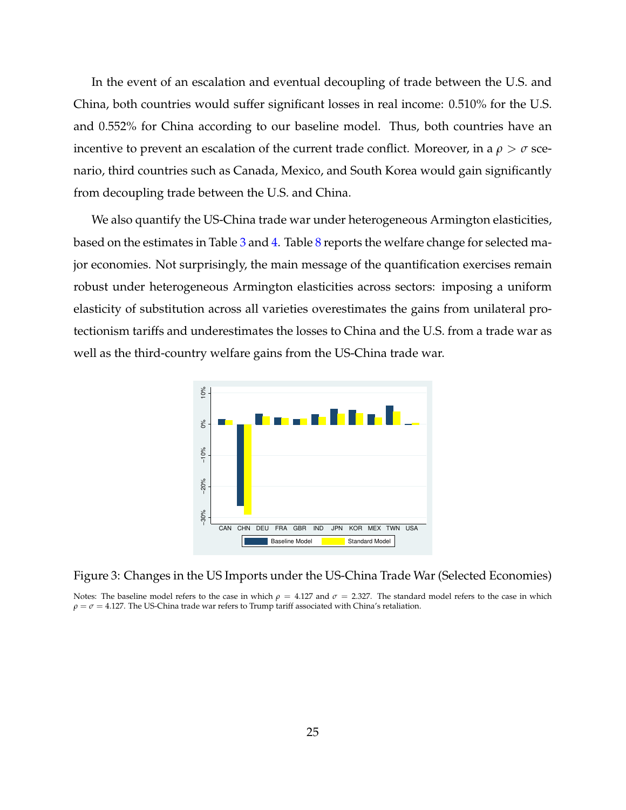In the event of an escalation and eventual decoupling of trade between the U.S. and China, both countries would suffer significant losses in real income: 0.510% for the U.S. and 0.552% for China according to our baseline model. Thus, both countries have an incentive to prevent an escalation of the current trade conflict. Moreover, in a  $\rho > \sigma$  scenario, third countries such as Canada, Mexico, and South Korea would gain significantly from decoupling trade between the U.S. and China.

We also quantify the US-China trade war under heterogeneous Armington elasticities, based on the estimates in Table [3](#page-17-1) and [4.](#page-18-0) Table [8](#page-25-0) reports the welfare change for selected major economies. Not surprisingly, the main message of the quantification exercises remain robust under heterogeneous Armington elasticities across sectors: imposing a uniform elasticity of substitution across all varieties overestimates the gains from unilateral protectionism tariffs and underestimates the losses to China and the U.S. from a trade war as well as the third-country welfare gains from the US-China trade war.



<span id="page-24-0"></span>Figure 3: Changes in the US Imports under the US-China Trade War (Selected Economies)

Notes: The baseline model refers to the case in which  $\rho = 4.127$  and  $\sigma = 2.327$ . The standard model refers to the case in which  $\rho = \sigma = 4.127$ . The US-China trade war refers to Trump tariff associated with China's retaliation.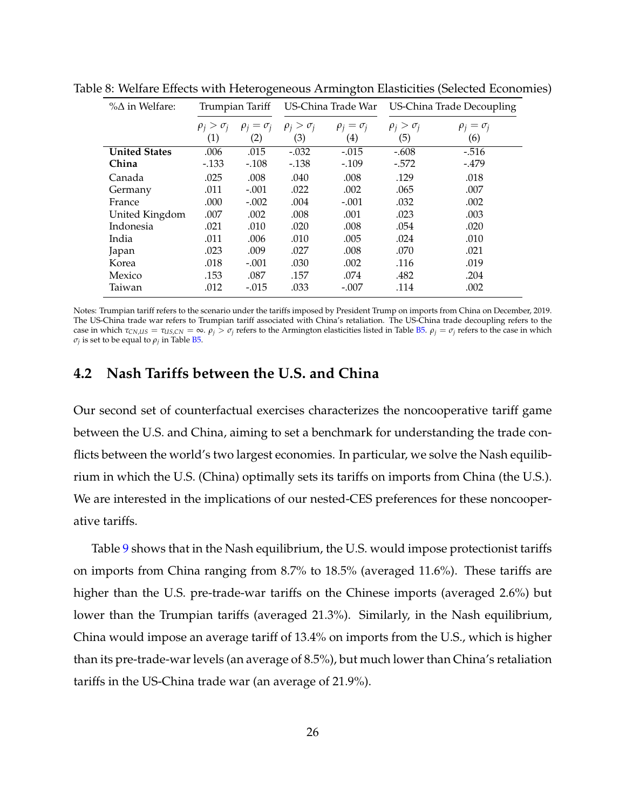<span id="page-25-0"></span>

| $\%$ $\Delta$ in Welfare: | Trumpian Tariff     |                     | US-China Trade War  |                     | US-China Trade Decoupling |                     |
|---------------------------|---------------------|---------------------|---------------------|---------------------|---------------------------|---------------------|
|                           | $\rho_i > \sigma_i$ | $\rho_i = \sigma_i$ | $\rho_i > \sigma_i$ | $\rho_i = \sigma_i$ | $\rho_i > \sigma_i$       | $\rho_i = \sigma_i$ |
|                           | (1)                 | $\left( 2\right)$   | (3)                 | (4)                 | (5)                       | (6)                 |
| <b>United States</b>      | .006                | .015                | $-.032$             | $-.015$             | $-.608$                   | $-516$              |
| China                     | $-.133$             | $-.108$             | $-138$              | $-.109$             | $-572$                    | $-479$              |
| Canada                    | .025                | .008                | .040                | .008                | .129                      | .018                |
| Germany                   | .011                | $-.001$             | .022                | .002                | .065                      | .007                |
| France                    | .000                | $-.002$             | .004                | $-.001$             | .032                      | .002                |
| United Kingdom            | .007                | .002                | .008                | .001                | .023                      | .003                |
| Indonesia                 | .021                | .010                | .020                | .008                | .054                      | .020                |
| India                     | .011                | .006                | .010                | .005                | .024                      | .010                |
| Japan                     | .023                | .009                | .027                | .008                | .070                      | .021                |
| Korea                     | .018                | $-.001$             | .030                | .002                | .116                      | .019                |
| Mexico                    | .153                | .087                | .157                | .074                | .482                      | .204                |
| Taiwan                    | .012                | $-.015$             | .033                | $-.007$             | .114                      | .002                |

Table 8: Welfare Effects with Heterogeneous Armington Elasticities (Selected Economies)

Notes: Trumpian tariff refers to the scenario under the tariffs imposed by President Trump on imports from China on December, 2019. The US-China trade war refers to Trumpian tariff associated with China's retaliation. The US-China trade decoupling refers to the case in which  $\tau_{CN,US} = \tau_{US,CN} = \infty$ .  $\rho_j > \sigma_j$  refers to the Armington elasticities listed in Table [B5.](#page-19-0)  $\rho_j = \sigma_j$  refers to the case in which  $\sigma_j$  is set to be equal to  $\rho_j$  in Table [B5.](#page-19-0)

#### **4.2 Nash Tariffs between the U.S. and China**

Our second set of counterfactual exercises characterizes the noncooperative tariff game between the U.S. and China, aiming to set a benchmark for understanding the trade conflicts between the world's two largest economies. In particular, we solve the Nash equilibrium in which the U.S. (China) optimally sets its tariffs on imports from China (the U.S.). We are interested in the implications of our nested-CES preferences for these noncooperative tariffs.

Table [9](#page-26-0) shows that in the Nash equilibrium, the U.S. would impose protectionist tariffs on imports from China ranging from 8.7% to 18.5% (averaged 11.6%). These tariffs are higher than the U.S. pre-trade-war tariffs on the Chinese imports (averaged 2.6%) but lower than the Trumpian tariffs (averaged 21.3%). Similarly, in the Nash equilibrium, China would impose an average tariff of 13.4% on imports from the U.S., which is higher than its pre-trade-war levels (an average of 8.5%), but much lower than China's retaliation tariffs in the US-China trade war (an average of 21.9%).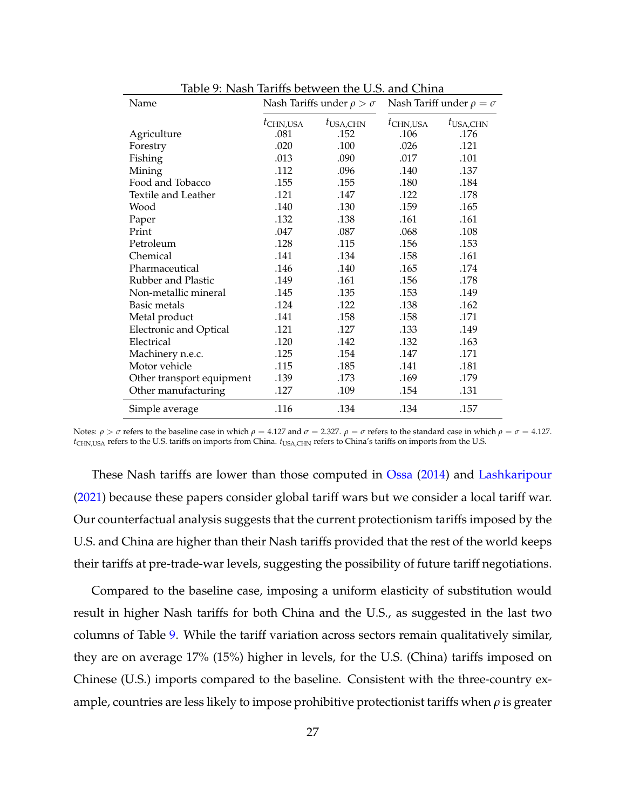| Name                          |             | Nash Tariffs under $\rho > \sigma$ |             | Nash Tariff under $\rho = \sigma$ |
|-------------------------------|-------------|------------------------------------|-------------|-----------------------------------|
|                               | $t$ CHN,USA | $t_{\text{USA,CHN}}$               | $t$ CHN,USA | $t_{\text{USA,CHN}}$              |
| Agriculture                   | .081        | .152                               | .106        | .176                              |
| Forestry                      | .020        | .100                               | .026        | .121                              |
| Fishing                       | .013        | .090                               | .017        | .101                              |
| Mining                        | .112        | .096                               | .140        | .137                              |
| Food and Tobacco              | .155        | .155                               | .180        | .184                              |
| Textile and Leather           | .121        | .147                               | .122        | .178                              |
| Wood                          | .140        | .130                               | .159        | .165                              |
| Paper                         | .132        | .138                               | .161        | .161                              |
| Print                         | .047        | .087                               | .068        | .108                              |
| Petroleum                     | .128        | .115                               | .156        | .153                              |
| Chemical                      | .141        | .134                               | .158        | .161                              |
| Pharmaceutical                | .146        | .140                               | .165        | .174                              |
| Rubber and Plastic            | .149        | .161                               | .156        | .178                              |
| Non-metallic mineral          | .145        | .135                               | .153        | .149                              |
| <b>Basic metals</b>           | .124        | .122                               | .138        | .162                              |
| Metal product                 | .141        | .158                               | .158        | .171                              |
| <b>Electronic and Optical</b> | .121        | .127                               | .133        | .149                              |
| Electrical                    | .120        | .142                               | .132        | .163                              |
| Machinery n.e.c.              | .125        | .154                               | .147        | .171                              |
| Motor vehicle                 | .115        | .185                               | .141        | .181                              |
| Other transport equipment     | .139        | .173                               | .169        | .179                              |
| Other manufacturing           | .127        | .109                               | .154        | .131                              |
| Simple average                | .116        | .134                               | .134        | .157                              |

<span id="page-26-0"></span>Table 9: Nash Tariffs between the U.S. and China

Notes: *ρ* > *σ* refers to the baseline case in which *ρ* = 4.127 and *σ* = 2.327. *ρ* = *σ* refers to the standard case in which *ρ* = *σ* = 4.127. *t*<sub>CHN,USA</sub> refers to the U.S. tariffs on imports from China. *t*<sub>USA,CHN</sub> refers to China's tariffs on imports from the U.S.

These Nash tariffs are lower than those computed in [Ossa](#page-32-0) [\(2014\)](#page-32-0) and [Lashkaripour](#page-31-4) [\(2021\)](#page-31-4) because these papers consider global tariff wars but we consider a local tariff war. Our counterfactual analysis suggests that the current protectionism tariffs imposed by the U.S. and China are higher than their Nash tariffs provided that the rest of the world keeps their tariffs at pre-trade-war levels, suggesting the possibility of future tariff negotiations.

Compared to the baseline case, imposing a uniform elasticity of substitution would result in higher Nash tariffs for both China and the U.S., as suggested in the last two columns of Table [9.](#page-26-0) While the tariff variation across sectors remain qualitatively similar, they are on average 17% (15%) higher in levels, for the U.S. (China) tariffs imposed on Chinese (U.S.) imports compared to the baseline. Consistent with the three-country example, countries are less likely to impose prohibitive protectionist tariffs when *ρ* is greater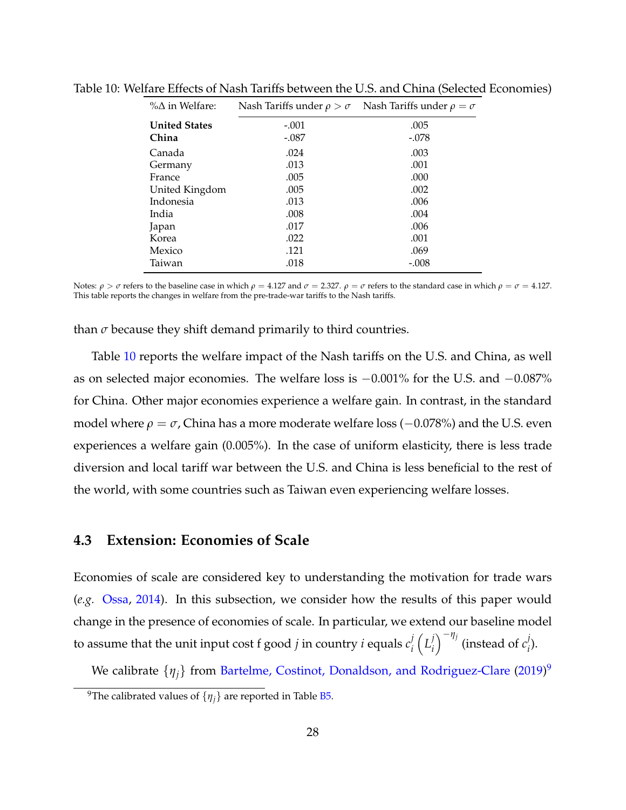<span id="page-27-0"></span>

| $\%$ $\Delta$ in Welfare: | Nash Tariffs under $\rho > \sigma$ | Nash Tariffs under $\rho = \sigma$ |  |
|---------------------------|------------------------------------|------------------------------------|--|
| <b>United States</b>      | $-.001$                            | .005                               |  |
| China                     | $-.087$                            | $-.078$                            |  |
| Canada                    | .024                               | .003                               |  |
| Germany                   | .013                               | .001                               |  |
| France                    | .005                               | .000                               |  |
| United Kingdom            | .005                               | .002                               |  |
| Indonesia                 | .013                               | .006                               |  |
| India                     | .008                               | .004                               |  |
| Japan                     | .017                               | .006                               |  |
| Korea                     | .022                               | .001                               |  |
| Mexico                    | .121                               | .069                               |  |
| Taiwan                    | .018                               | $-.008$                            |  |

Table 10: Welfare Effects of Nash Tariffs between the U.S. and China (Selected Economies)

Notes: *ρ* > *σ* refers to the baseline case in which *ρ* = 4.127 and *σ* = 2.327. *ρ* = *σ* refers to the standard case in which *ρ* = *σ* = 4.127. This table reports the changes in welfare from the pre-trade-war tariffs to the Nash tariffs.

than  $\sigma$  because they shift demand primarily to third countries.

Table [10](#page-27-0) reports the welfare impact of the Nash tariffs on the U.S. and China, as well as on selected major economies. The welfare loss is −0.001% for the U.S. and −0.087% for China. Other major economies experience a welfare gain. In contrast, in the standard model where  $\rho = \sigma$ , China has a more moderate welfare loss ( $-0.078\%$ ) and the U.S. even experiences a welfare gain (0.005%). In the case of uniform elasticity, there is less trade diversion and local tariff war between the U.S. and China is less beneficial to the rest of the world, with some countries such as Taiwan even experiencing welfare losses.

#### **4.3 Extension: Economies of Scale**

Economies of scale are considered key to understanding the motivation for trade wars (*e.g.* [Ossa,](#page-32-0) [2014\)](#page-32-0). In this subsection, we consider how the results of this paper would change in the presence of economies of scale. In particular, we extend our baseline model to assume that the unit input cost f good *j* in country *i* equals  $c^j_i$ *i*  $\left( L_i^j \right)$ *i*  $\int$ <sup>-*η<sub>j</sub>*</sup> (instead of *c*<sup>*j*</sup></sup> *i* ).

We calibrate  $\{\eta_j\}$  from [Bartelme, Costinot, Donaldson, and Rodriguez-Clare](#page-30-9) [\(2019\)](#page-30-9)<sup>[9](#page-27-1)</sup>

<span id="page-27-1"></span><sup>&</sup>lt;sup>9</sup>The calibrated values of  $\{\eta_i\}$  are reported in Table [B5.](#page-19-0)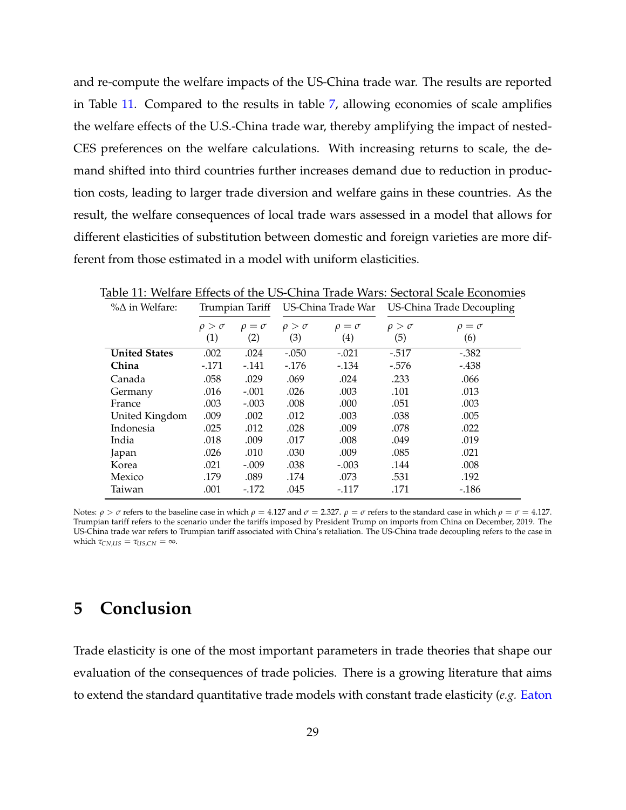and re-compute the welfare impacts of the US-China trade war. The results are reported in Table [11.](#page-28-1) Compared to the results in table [7,](#page-23-0) allowing economies of scale amplifies the welfare effects of the U.S.-China trade war, thereby amplifying the impact of nested-CES preferences on the welfare calculations. With increasing returns to scale, the demand shifted into third countries further increases demand due to reduction in production costs, leading to larger trade diversion and welfare gains in these countries. As the result, the welfare consequences of local trade wars assessed in a model that allows for different elasticities of substitution between domestic and foreign varieties are more different from those estimated in a model with uniform elasticities.

<span id="page-28-1"></span>

| rable 11. Wellafe Ellects of the Ob-Chillia fraue Wars. Sectoral Scale Economics |                 |                 |                    |                 |                           |                 |
|----------------------------------------------------------------------------------|-----------------|-----------------|--------------------|-----------------|---------------------------|-----------------|
| $\%$ $\Delta$ in Welfare:                                                        | Trumpian Tariff |                 | US-China Trade War |                 | US-China Trade Decoupling |                 |
|                                                                                  | $\rho > \sigma$ | $\rho = \sigma$ | $\rho > \sigma$    | $\rho = \sigma$ | $\rho > \sigma$           | $\rho = \sigma$ |
|                                                                                  | (1)             | (2)             | (3)                | (4)             | (5)                       | (6)             |
| <b>United States</b>                                                             | .002            | .024            | $-.050$            | $-.021$         | $-.517$                   | $-.382$         |
| China                                                                            | $-171$          | $-141$          | $-176$             | $-134$          | $-.576$                   | $-.438$         |
| Canada                                                                           | .058            | .029            | .069               | .024            | .233                      | .066            |
| Germany                                                                          | .016            | $-.001$         | .026               | .003            | .101                      | .013            |
| France                                                                           | .003            | $-.003$         | .008               | .000            | .051                      | .003            |
| United Kingdom                                                                   | .009            | .002            | .012               | .003            | .038                      | .005            |
| Indonesia                                                                        | .025            | .012            | .028               | .009            | .078                      | .022            |
| India                                                                            | .018            | .009            | .017               | .008            | .049                      | .019            |
| Japan                                                                            | .026            | .010            | .030               | .009            | .085                      | .021            |
| Korea                                                                            | .021            | $-.009$         | .038               | $-.003$         | .144                      | .008            |
| Mexico                                                                           | .179            | .089            | .174               | .073            | .531                      | .192            |
| Taiwan                                                                           | .001            | $-172$          | .045               | $-117$          | .171                      | $-186$          |

Table 11: Welfare Effects of the US-China Trade Wars: Sectoral Scale Economies

Notes: *ρ* > *σ* refers to the baseline case in which *ρ* = 4.127 and *σ* = 2.327. *ρ* = *σ* refers to the standard case in which *ρ* = *σ* = 4.127. Trumpian tariff refers to the scenario under the tariffs imposed by President Trump on imports from China on December, 2019. The US-China trade war refers to Trumpian tariff associated with China's retaliation. The US-China trade decoupling refers to the case in which  $\tau_{CN,US} = \tau_{US,CN} = \infty$ .

## <span id="page-28-0"></span>**5 Conclusion**

Trade elasticity is one of the most important parameters in trade theories that shape our evaluation of the consequences of trade policies. There is a growing literature that aims to extend the standard quantitative trade models with constant trade elasticity (*e.g.* [Eaton](#page-31-7)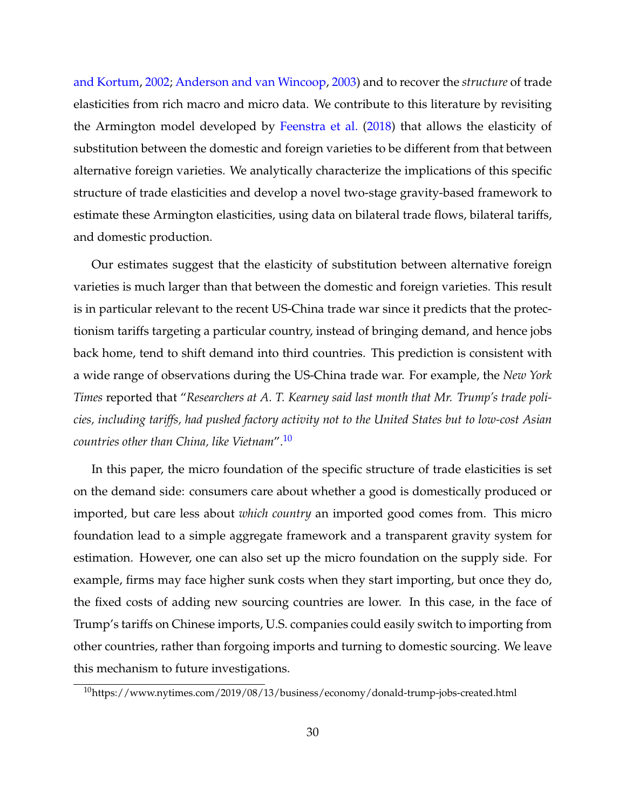[and Kortum,](#page-31-7) [2002;](#page-31-7) [Anderson and van Wincoop,](#page-30-10) [2003\)](#page-30-10) and to recover the *structure* of trade elasticities from rich macro and micro data. We contribute to this literature by revisiting the Armington model developed by [Feenstra et al.](#page-31-0) [\(2018\)](#page-31-0) that allows the elasticity of substitution between the domestic and foreign varieties to be different from that between alternative foreign varieties. We analytically characterize the implications of this specific structure of trade elasticities and develop a novel two-stage gravity-based framework to estimate these Armington elasticities, using data on bilateral trade flows, bilateral tariffs, and domestic production.

Our estimates suggest that the elasticity of substitution between alternative foreign varieties is much larger than that between the domestic and foreign varieties. This result is in particular relevant to the recent US-China trade war since it predicts that the protectionism tariffs targeting a particular country, instead of bringing demand, and hence jobs back home, tend to shift demand into third countries. This prediction is consistent with a wide range of observations during the US-China trade war. For example, the *New York Times* reported that "*Researchers at A. T. Kearney said last month that Mr. Trump's trade policies, including tariffs, had pushed factory activity not to the United States but to low-cost Asian countries other than China, like Vietnam*".[10](#page-29-0)

In this paper, the micro foundation of the specific structure of trade elasticities is set on the demand side: consumers care about whether a good is domestically produced or imported, but care less about *which country* an imported good comes from. This micro foundation lead to a simple aggregate framework and a transparent gravity system for estimation. However, one can also set up the micro foundation on the supply side. For example, firms may face higher sunk costs when they start importing, but once they do, the fixed costs of adding new sourcing countries are lower. In this case, in the face of Trump's tariffs on Chinese imports, U.S. companies could easily switch to importing from other countries, rather than forgoing imports and turning to domestic sourcing. We leave this mechanism to future investigations.

<span id="page-29-0"></span><sup>&</sup>lt;sup>10</sup>https://www.nytimes.com/2019/08/13/business/economy/donald-trump-jobs-created.html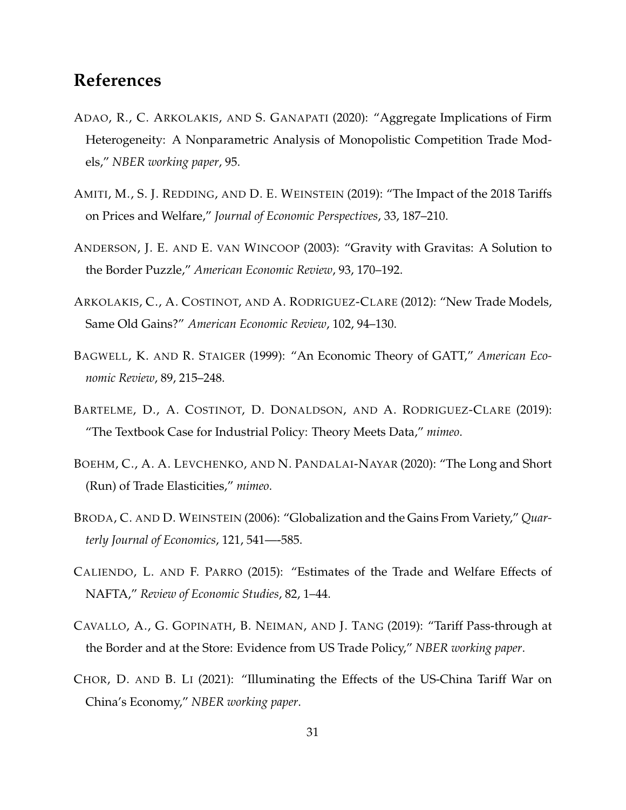### **References**

- <span id="page-30-2"></span>ADAO, R., C. ARKOLAKIS, AND S. GANAPATI (2020): "Aggregate Implications of Firm Heterogeneity: A Nonparametric Analysis of Monopolistic Competition Trade Models," *NBER working paper*, 95.
- <span id="page-30-4"></span>AMITI, M., S. J. REDDING, AND D. E. WEINSTEIN (2019): "The Impact of the 2018 Tariffs on Prices and Welfare," *Journal of Economic Perspectives*, 33, 187–210.
- <span id="page-30-10"></span>ANDERSON, J. E. AND E. VAN WINCOOP (2003): "Gravity with Gravitas: A Solution to the Border Puzzle," *American Economic Review*, 93, 170–192.
- <span id="page-30-0"></span>ARKOLAKIS, C., A. COSTINOT, AND A. RODRIGUEZ-CLARE (2012): "New Trade Models, Same Old Gains?" *American Economic Review*, 102, 94–130.
- <span id="page-30-3"></span>BAGWELL, K. AND R. STAIGER (1999): "An Economic Theory of GATT," *American Economic Review*, 89, 215–248.
- <span id="page-30-9"></span>BARTELME, D., A. COSTINOT, D. DONALDSON, AND A. RODRIGUEZ-CLARE (2019): "The Textbook Case for Industrial Policy: Theory Meets Data," *mimeo*.
- <span id="page-30-1"></span>BOEHM, C., A. A. LEVCHENKO, AND N. PANDALAI-NAYAR (2020): "The Long and Short (Run) of Trade Elasticities," *mimeo*.
- <span id="page-30-8"></span>BRODA, C. AND D. WEINSTEIN (2006): "Globalization and the Gains From Variety," *Quarterly Journal of Economics*, 121, 541—-585.
- <span id="page-30-7"></span>CALIENDO, L. AND F. PARRO (2015): "Estimates of the Trade and Welfare Effects of NAFTA," *Review of Economic Studies*, 82, 1–44.
- <span id="page-30-5"></span>CAVALLO, A., G. GOPINATH, B. NEIMAN, AND J. TANG (2019): "Tariff Pass-through at the Border and at the Store: Evidence from US Trade Policy," *NBER working paper*.
- <span id="page-30-6"></span>CHOR, D. AND B. LI (2021): "Illuminating the Effects of the US-China Tariff War on China's Economy," *NBER working paper*.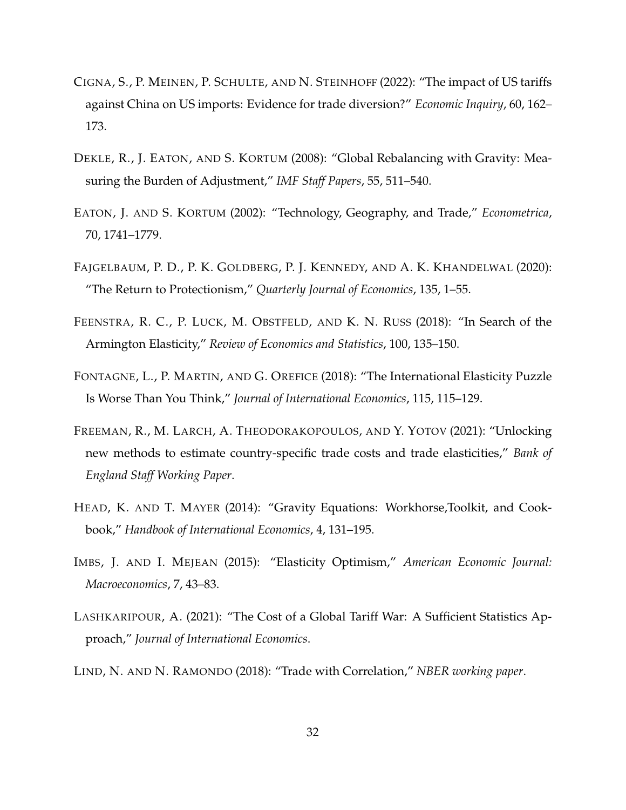- <span id="page-31-9"></span>CIGNA, S., P. MEINEN, P. SCHULTE, AND N. STEINHOFF (2022): "The impact of US tariffs against China on US imports: Evidence for trade diversion?" *Economic Inquiry*, 60, 162– 173.
- <span id="page-31-10"></span>DEKLE, R., J. EATON, AND S. KORTUM (2008): "Global Rebalancing with Gravity: Measuring the Burden of Adjustment," *IMF Staff Papers*, 55, 511–540.
- <span id="page-31-7"></span>EATON, J. AND S. KORTUM (2002): "Technology, Geography, and Trade," *Econometrica*, 70, 1741–1779.
- <span id="page-31-1"></span>FAJGELBAUM, P. D., P. K. GOLDBERG, P. J. KENNEDY, AND A. K. KHANDELWAL (2020): "The Return to Protectionism," *Quarterly Journal of Economics*, 135, 1–55.
- <span id="page-31-0"></span>FEENSTRA, R. C., P. LUCK, M. OBSTFELD, AND K. N. RUSS (2018): "In Search of the Armington Elasticity," *Review of Economics and Statistics*, 100, 135–150.
- <span id="page-31-8"></span>FONTAGNE, L., P. MARTIN, AND G. OREFICE (2018): "The International Elasticity Puzzle Is Worse Than You Think," *Journal of International Economics*, 115, 115–129.
- <span id="page-31-3"></span>FREEMAN, R., M. LARCH, A. THEODORAKOPOULOS, AND Y. YOTOV (2021): "Unlocking new methods to estimate country-specific trade costs and trade elasticities," *Bank of England Staff Working Paper*.
- <span id="page-31-2"></span>HEAD, K. AND T. MAYER (2014): "Gravity Equations: Workhorse,Toolkit, and Cookbook," *Handbook of International Economics*, 4, 131–195.
- <span id="page-31-5"></span>IMBS, J. AND I. MEJEAN (2015): "Elasticity Optimism," *American Economic Journal: Macroeconomics*, 7, 43–83.
- <span id="page-31-4"></span>LASHKARIPOUR, A. (2021): "The Cost of a Global Tariff War: A Sufficient Statistics Approach," *Journal of International Economics*.
- <span id="page-31-6"></span>LIND, N. AND N. RAMONDO (2018): "Trade with Correlation," *NBER working paper*.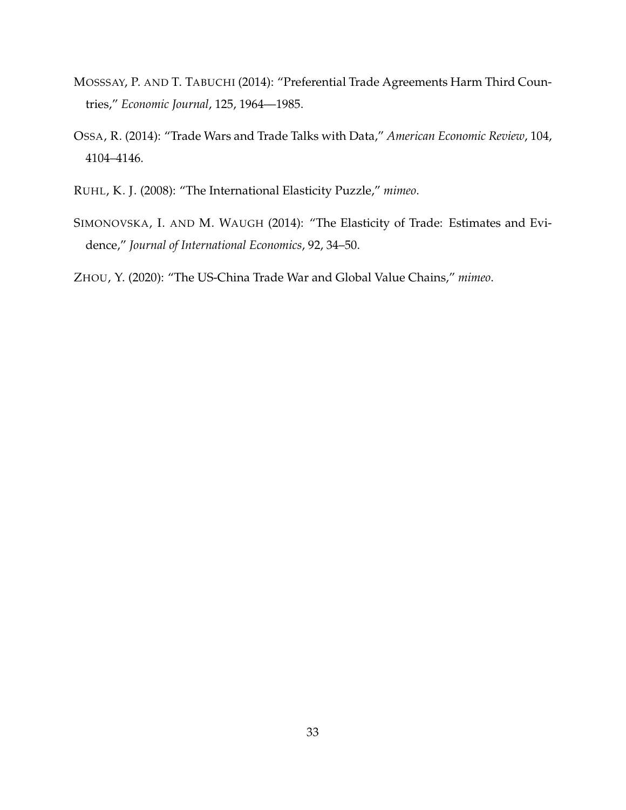- <span id="page-32-3"></span>MOSSSAY, P. AND T. TABUCHI (2014): "Preferential Trade Agreements Harm Third Countries," *Economic Journal*, 125, 1964––1985.
- <span id="page-32-0"></span>OSSA, R. (2014): "Trade Wars and Trade Talks with Data," *American Economic Review*, 104, 4104–4146.
- <span id="page-32-1"></span>RUHL, K. J. (2008): "The International Elasticity Puzzle," *mimeo*.
- <span id="page-32-2"></span>SIMONOVSKA, I. AND M. WAUGH (2014): "The Elasticity of Trade: Estimates and Evidence," *Journal of International Economics*, 92, 34–50.

<span id="page-32-4"></span>ZHOU, Y. (2020): "The US-China Trade War and Global Value Chains," *mimeo*.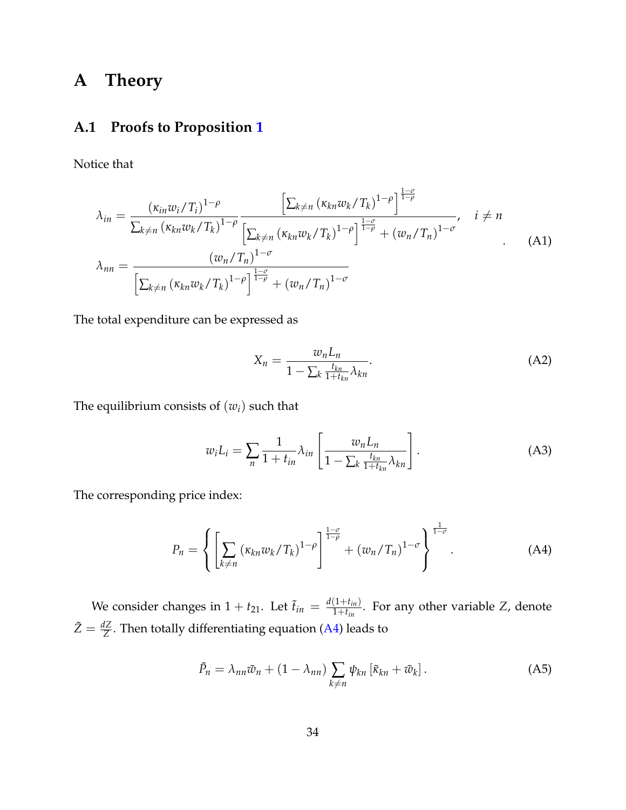## **A Theory**

#### **A.1 Proofs to Proposition [1](#page-10-0)**

Notice that

$$
\lambda_{in} = \frac{(\kappa_{in} w_i / T_i)^{1-\rho}}{\sum_{k \neq n} (\kappa_{kn} w_k / T_k)^{1-\rho}} \frac{\left[\sum_{k \neq n} (\kappa_{kn} w_k / T_k)^{1-\rho}\right]^{\frac{1-\sigma}{1-\rho}}}{\left[\sum_{k \neq n} (\kappa_{kn} w_k / T_k)^{1-\rho}\right]^{\frac{1-\sigma}{1-\rho}} + (w_n / T_n)^{1-\sigma}}, \quad i \neq n
$$
\n
$$
\lambda_{nn} = \frac{(w_n / T_n)^{1-\sigma}}{\left[\sum_{k \neq n} (\kappa_{kn} w_k / T_k)^{1-\rho}\right]^{\frac{1-\sigma}{1-\rho}} + (w_n / T_n)^{1-\sigma}}
$$
\n(A1)

The total expenditure can be expressed as

$$
X_n = \frac{w_n L_n}{1 - \sum_k \frac{t_{kn}}{1 + t_{kn}} \lambda_{kn}}.
$$
\n(A2)

The equilibrium consists of  $(w_i)$  such that

$$
w_i L_i = \sum_{n} \frac{1}{1+t_{in}} \lambda_{in} \left[ \frac{w_n L_n}{1-\sum_{k} \frac{t_{kn}}{1+t_{kn}} \lambda_{kn}} \right].
$$
 (A3)

The corresponding price index:

<span id="page-33-0"></span>
$$
P_n = \left\{ \left[ \sum_{k \neq n} \left( \kappa_{kn} w_k / T_k \right)^{1-\rho} \right]^{1-\sigma} + \left( w_n / T_n \right)^{1-\sigma} \right\}^{\frac{1}{1-\sigma}}.
$$
 (A4)

We consider changes in  $1 + t_{21}$ . Let  $\tilde{t}_{in} = \frac{d(1+t_{in})}{1+t_{in}}$  $\frac{1+t_{in}}{1+t_{in}}$ . For any other variable *Z*, denote  $\tilde{Z} = \frac{dZ}{Z}$ . Then totally differentiating equation [\(A4\)](#page-33-0) leads to

$$
\tilde{P}_n = \lambda_{nn}\tilde{w}_n + (1 - \lambda_{nn}) \sum_{k \neq n} \psi_{kn} \left[ \tilde{\kappa}_{kn} + \tilde{w}_k \right]. \tag{A5}
$$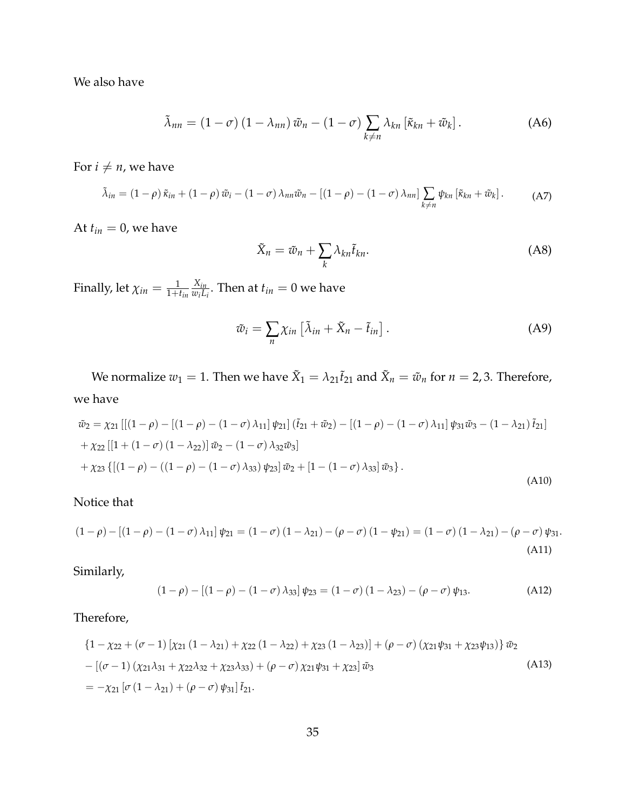We also have

$$
\tilde{\lambda}_{nn} = (1 - \sigma) (1 - \lambda_{nn}) \tilde{w}_n - (1 - \sigma) \sum_{k \neq n} \lambda_{kn} [\tilde{\kappa}_{kn} + \tilde{w}_k].
$$
 (A6)

For  $i \neq n$ , we have

$$
\tilde{\lambda}_{in} = (1 - \rho) \tilde{\kappa}_{in} + (1 - \rho) \tilde{w}_i - (1 - \sigma) \lambda_{nn} \tilde{w}_n - [(1 - \rho) - (1 - \sigma) \lambda_{nn}] \sum_{k \neq n} \psi_{kn} [\tilde{\kappa}_{kn} + \tilde{w}_k].
$$
 (A7)

At  $t_{in} = 0$ , we have

$$
\tilde{X}_n = \tilde{w}_n + \sum_k \lambda_{kn} \tilde{t}_{kn}.
$$
\n(A8)

Finally, let  $\chi_{in} = \frac{1}{1+t_{in}}$ *Xin*  $\frac{X_{in}}{w_i L_i}$ . Then at  $t_{in} = 0$  we have

$$
\tilde{w}_i = \sum_n \chi_{in} \left[ \tilde{\lambda}_{in} + \tilde{X}_n - \tilde{t}_{in} \right]. \tag{A9}
$$

We normalize  $w_1 = 1$ . Then we have  $\tilde{X}_1 = \lambda_{21} \tilde{t}_{21}$  and  $\tilde{X}_n = \tilde{w}_n$  for  $n = 2, 3$ . Therefore, we have

$$
\tilde{w}_2 = \chi_{21} \left[ \left[ (1 - \rho) - \left[ (1 - \rho) - (1 - \sigma) \lambda_{11} \right] \psi_{21} \right] (\tilde{t}_{21} + \tilde{w}_2) - \left[ (1 - \rho) - (1 - \sigma) \lambda_{11} \right] \psi_{31} \tilde{w}_3 - (1 - \lambda_{21}) \tilde{t}_{21} \right] \n+ \chi_{22} \left[ \left[ 1 + (1 - \sigma) (1 - \lambda_{22}) \right] \tilde{w}_2 - (1 - \sigma) \lambda_{32} \tilde{w}_3 \right] \n+ \chi_{23} \left\{ \left[ (1 - \rho) - ((1 - \rho) - (1 - \sigma) \lambda_{33}) \psi_{23} \right] \tilde{w}_2 + \left[ 1 - (1 - \sigma) \lambda_{33} \right] \tilde{w}_3 \right\}.
$$
\n(A10)

#### Notice that

$$
(1 - \rho) - [(1 - \rho) - (1 - \sigma) \lambda_{11}] \psi_{21} = (1 - \sigma) (1 - \lambda_{21}) - (\rho - \sigma) (1 - \psi_{21}) = (1 - \sigma) (1 - \lambda_{21}) - (\rho - \sigma) \psi_{31}.
$$
\n(A11)

Similarly,

$$
(1 - \rho) - [(1 - \rho) - (1 - \sigma) \lambda_{33}] \psi_{23} = (1 - \sigma) (1 - \lambda_{23}) - (\rho - \sigma) \psi_{13}.
$$
 (A12)

Therefore,

$$
\{1 - \chi_{22} + (\sigma - 1) [\chi_{21} (1 - \lambda_{21}) + \chi_{22} (1 - \lambda_{22}) + \chi_{23} (1 - \lambda_{23})] + (\rho - \sigma) (\chi_{21} \psi_{31} + \chi_{23} \psi_{13})\} \tilde{w}_2 - [(\sigma - 1) (\chi_{21} \lambda_{31} + \chi_{22} \lambda_{32} + \chi_{23} \lambda_{33}) + (\rho - \sigma) \chi_{21} \psi_{31} + \chi_{23}] \tilde{w}_3
$$
(A13)  
=  $-\chi_{21} [\sigma (1 - \lambda_{21}) + (\rho - \sigma) \psi_{31}] \tilde{t}_{21}.$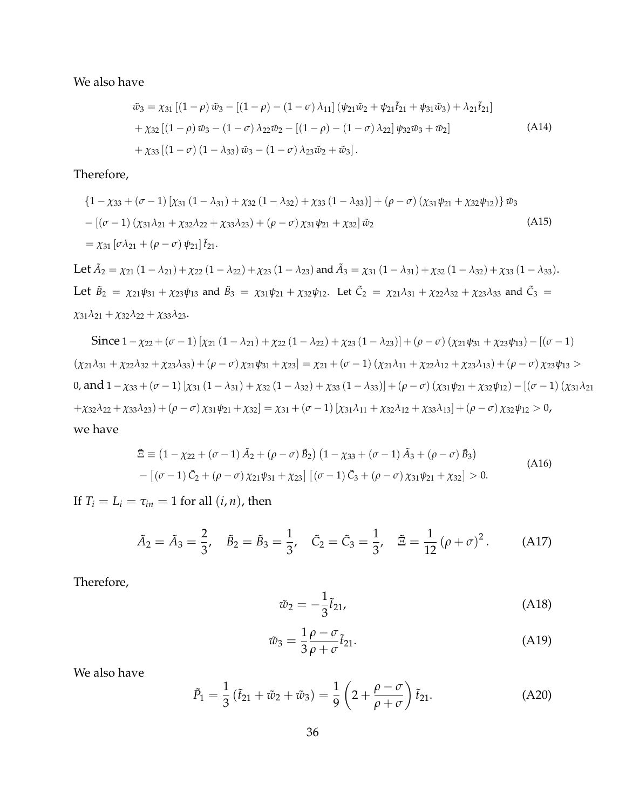We also have

$$
\tilde{w}_3 = \chi_{31} [(1 - \rho) \tilde{w}_3 - [(1 - \rho) - (1 - \sigma) \lambda_{11}] (\psi_{21} \tilde{w}_2 + \psi_{21} \tilde{t}_{21} + \psi_{31} \tilde{w}_3) + \lambda_{21} \tilde{t}_{21}] \n+ \chi_{32} [(1 - \rho) \tilde{w}_3 - (1 - \sigma) \lambda_{22} \tilde{w}_2 - [(1 - \rho) - (1 - \sigma) \lambda_{22}] \psi_{32} \tilde{w}_3 + \tilde{w}_2] \n+ \chi_{33} [(1 - \sigma) (1 - \lambda_{33}) \tilde{w}_3 - (1 - \sigma) \lambda_{23} \tilde{w}_2 + \tilde{w}_3].
$$
\n(A14)

Therefore,

$$
\{1 - \chi_{33} + (\sigma - 1) [\chi_{31} (1 - \lambda_{31}) + \chi_{32} (1 - \lambda_{32}) + \chi_{33} (1 - \lambda_{33})] + (\rho - \sigma) (\chi_{31} \psi_{21} + \chi_{32} \psi_{12})\} \tilde{w}_3 - [(\sigma - 1) (\chi_{31} \lambda_{21} + \chi_{32} \lambda_{22} + \chi_{33} \lambda_{23}) + (\rho - \sigma) \chi_{31} \psi_{21} + \chi_{32}] \tilde{w}_2
$$
\n
$$
= \chi_{31} [\sigma \lambda_{21} + (\rho - \sigma) \psi_{21}] \tilde{t}_{21}.
$$
\n(A15)

Let  $\tilde{A}_2 = \chi_{21} (1 - \lambda_{21}) + \chi_{22} (1 - \lambda_{22}) + \chi_{23} (1 - \lambda_{23})$  and  $\tilde{A}_3 = \chi_{31} (1 - \lambda_{31}) + \chi_{32} (1 - \lambda_{32}) + \chi_{33} (1 - \lambda_{33})$ . Let  $\tilde{B}_2 = \chi_{21}\psi_{31} + \chi_{23}\psi_{13}$  and  $\tilde{B}_3 = \chi_{31}\psi_{21} + \chi_{32}\psi_{12}$ . Let  $\tilde{C}_2 = \chi_{21}\lambda_{31} + \chi_{22}\lambda_{32} + \chi_{23}\lambda_{33}$  and  $\tilde{C}_3 =$ *χ*31*λ*<sup>21</sup> + *χ*32*λ*<sup>22</sup> + *χ*33*λ*23.

Since  $1 - \chi_{22} + (\sigma - 1) [\chi_{21} (1 - \lambda_{21}) + \chi_{22} (1 - \lambda_{22}) + \chi_{23} (1 - \lambda_{23})] + (\rho - \sigma) (\chi_{21} \psi_{31} + \chi_{23} \psi_{13}) - [(\sigma - 1)$  $(\chi_{21}\lambda_{31} + \chi_{22}\lambda_{32} + \chi_{23}\lambda_{33}) + (\rho - \sigma)\chi_{21}\psi_{31} + \chi_{23}] = \chi_{21} + (\sigma - 1)(\chi_{21}\lambda_{11} + \chi_{22}\lambda_{12} + \chi_{23}\lambda_{13}) + (\rho - \sigma)\chi_{23}\psi_{13} >$ 0, and  $1 - \chi_{33} + (\sigma - 1) [\chi_{31} (1 - \lambda_{31}) + \chi_{32} (1 - \lambda_{32}) + \chi_{33} (1 - \lambda_{33})] + (\rho - \sigma) (\chi_{31} \psi_{21} + \chi_{32} \psi_{12}) - [(\sigma - 1) (\chi_{31} \lambda_{21} + \chi_{32} \lambda_{31}) + (\sigma - 1) (\chi_{31} \lambda_{31} + \chi_{32} \lambda_{31})]$  $+\chi_{32}\lambda_{22}+\chi_{33}\lambda_{23})+(\rho-\sigma)\chi_{31}\psi_{21}+\chi_{32}]=\chi_{31}+(\sigma-1)\left[\chi_{31}\lambda_{11}+\chi_{32}\lambda_{12}+\chi_{33}\lambda_{13}\right]+(\rho-\sigma)\chi_{32}\psi_{12}>0,$ we have

$$
\tilde{\Xi} \equiv (1 - \chi_{22} + (\sigma - 1) \tilde{A}_2 + (\rho - \sigma) \tilde{B}_2) (1 - \chi_{33} + (\sigma - 1) \tilde{A}_3 + (\rho - \sigma) \tilde{B}_3)
$$
  
– [(\sigma - 1) \tilde{C}\_2 + (\rho - \sigma) \chi\_{21} \psi\_{31} + \chi\_{23}] [(\sigma - 1) \tilde{C}\_3 + (\rho - \sigma) \chi\_{31} \psi\_{21} + \chi\_{32}] > 0. (A16)

If  $T_i = L_i = \tau_{in} = 1$  for all  $(i, n)$ , then

$$
\tilde{A}_2 = \tilde{A}_3 = \frac{2}{3}, \quad \tilde{B}_2 = \tilde{B}_3 = \frac{1}{3}, \quad \tilde{C}_2 = \tilde{C}_3 = \frac{1}{3}, \quad \tilde{\Xi} = \frac{1}{12} (\rho + \sigma)^2.
$$
 (A17)

Therefore,

$$
\tilde{w}_2 = -\frac{1}{3}\tilde{t}_{21},\tag{A18}
$$

$$
\tilde{w}_3 = \frac{1}{3} \frac{\rho - \sigma}{\rho + \sigma} \tilde{t}_{21}.
$$
\n(A19)

We also have

$$
\tilde{P}_1 = \frac{1}{3} \left( \tilde{t}_{21} + \tilde{w}_2 + \tilde{w}_3 \right) = \frac{1}{9} \left( 2 + \frac{\rho - \sigma}{\rho + \sigma} \right) \tilde{t}_{21}.
$$
\n(A20)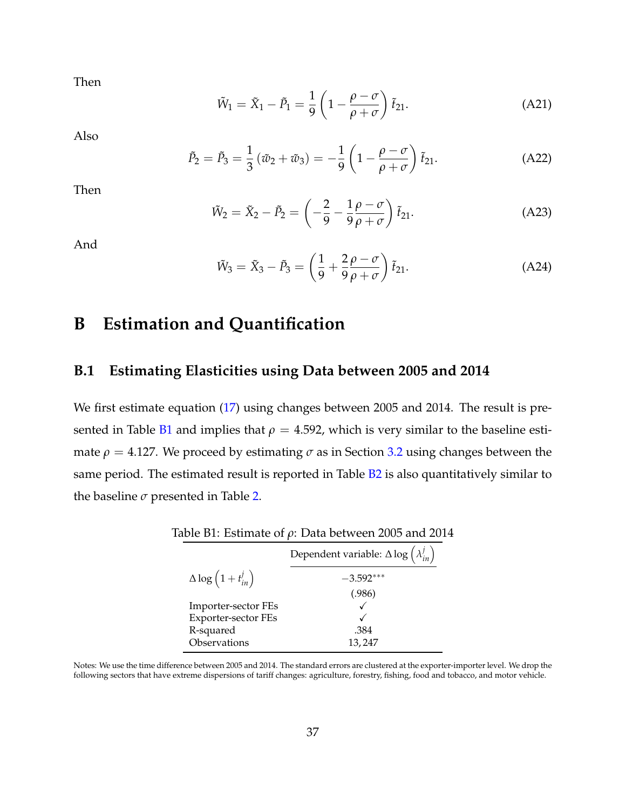Then

$$
\tilde{W}_1 = \tilde{X}_1 - \tilde{P}_1 = \frac{1}{9} \left( 1 - \frac{\rho - \sigma}{\rho + \sigma} \right) \tilde{t}_{21}.
$$
\n(A21)

Also

$$
\tilde{P}_2 = \tilde{P}_3 = \frac{1}{3} (\tilde{w}_2 + \tilde{w}_3) = -\frac{1}{9} \left( 1 - \frac{\rho - \sigma}{\rho + \sigma} \right) \tilde{t}_{21}.
$$
\n(A22)

Then

$$
\tilde{W}_2 = \tilde{X}_2 - \tilde{P}_2 = \left(-\frac{2}{9} - \frac{1}{9}\frac{\rho - \sigma}{\rho + \sigma}\right)\tilde{t}_{21}.
$$
\n(A23)

And

$$
\tilde{W}_3 = \tilde{X}_3 - \tilde{P}_3 = \left(\frac{1}{9} + \frac{2}{9}\frac{\rho - \sigma}{\rho + \sigma}\right)\tilde{t}_{21}.
$$
\n(A24)

## **B Estimation and Quantification**

#### <span id="page-36-0"></span>**B.1 Estimating Elasticities using Data between 2005 and 2014**

We first estimate equation [\(17\)](#page-12-2) using changes between 2005 and 2014. The result is pre-sented in Table [B1](#page-13-1) and implies that  $\rho = 4.592$ , which is very similar to the baseline estimate  $\rho = 4.127$ . We proceed by estimating  $\sigma$  as in Section [3.2](#page-14-1) using changes between the same period. The estimated result is reported in Table [B2](#page-16-0) is also quantitatively similar to the baseline  $\sigma$  presented in Table [2.](#page-16-0)

| Dependent variable: $\Delta \log \left( \lambda_{in}^{j} \right)$ |
|-------------------------------------------------------------------|
| $-3.592***$                                                       |
| (.986)                                                            |
|                                                                   |
|                                                                   |
| .384                                                              |
| 13,247                                                            |
|                                                                   |

|  | Table B1: Estimate of $\rho$ : Data between 2005 and 2014 |  |  |  |  |  |  |
|--|-----------------------------------------------------------|--|--|--|--|--|--|
|--|-----------------------------------------------------------|--|--|--|--|--|--|

Notes: We use the time difference between 2005 and 2014. The standard errors are clustered at the exporter-importer level. We drop the following sectors that have extreme dispersions of tariff changes: agriculture, forestry, fishing, food and tobacco, and motor vehicle.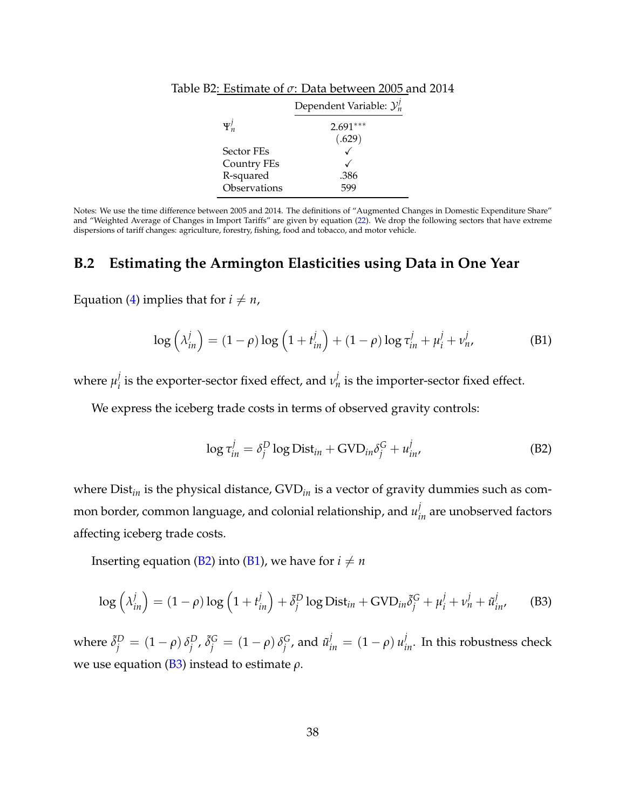|                   | Dependent Variable: $\mathcal{Y}_n^j$ |
|-------------------|---------------------------------------|
| $\Psi_n^j$        | $2.691***$                            |
|                   | (.629)                                |
| <b>Sector FEs</b> |                                       |
| Country FEs       |                                       |
| R-squared         | .386                                  |
| Observations      |                                       |

|  | Table B2: Estimate of $\sigma$ : Data between 2005 and 2014 |  |
|--|-------------------------------------------------------------|--|
|  |                                                             |  |

Notes: We use the time difference between 2005 and 2014. The definitions of "Augmented Changes in Domestic Expenditure Share" and "Weighted Average of Changes in Import Tariffs" are given by equation [\(22\)](#page-15-0). We drop the following sectors that have extreme dispersions of tariff changes: agriculture, forestry, fishing, food and tobacco, and motor vehicle.

#### <span id="page-37-0"></span>**B.2 Estimating the Armington Elasticities using Data in One Year**

Equation [\(4\)](#page-8-3) implies that for  $i \neq n$ ,

<span id="page-37-2"></span>
$$
\log\left(\lambda_{in}^{j}\right) = (1-\rho)\log\left(1+t_{in}^{j}\right) + (1-\rho)\log\tau_{in}^{j} + \mu_{i}^{j} + \nu_{n}^{j},\tag{B1}
$$

where  $\mu_i^j$  $\hat{p}_i^j$  is the exporter-sector fixed effect, and  $v_n^j$  is the importer-sector fixed effect.

We express the iceberg trade costs in terms of observed gravity controls:

<span id="page-37-1"></span>
$$
\log \tau_{in}^{j} = \delta_j^D \log \text{Dist}_{in} + \text{GVD}_{in} \delta_j^G + u_{in}^{j}, \tag{B2}
$$

where Dist<sub>in</sub> is the physical distance, GVD<sub>in</sub> is a vector of gravity dummies such as common border, common language, and colonial relationship, and  $u_{in}^j$  are unobserved factors affecting iceberg trade costs.

Inserting equation [\(B2\)](#page-37-1) into [\(B1\)](#page-37-2), we have for  $i \neq n$ 

<span id="page-37-3"></span>
$$
\log\left(\lambda_{in}^{j}\right) = (1 - \rho)\log\left(1 + t_{in}^{j}\right) + \tilde{\delta}_{j}^{D}\log \text{Dist}_{in} + \text{GVD}_{in}\tilde{\delta}_{j}^{G} + \mu_{i}^{j} + \nu_{n}^{j} + \tilde{u}_{in}^{j}, \tag{B3}
$$

where  $\tilde{\delta}_j^D = (1 - \rho) \, \delta_j^D$  $^{D}_{j}$ ,  $\tilde{\delta}^{G}_{j} = (1 - \rho) \delta^{G}_{j}$  $j^G$ , and  $\tilde{u}^j_{in} = (1 - \rho) u^j_{in}$ . In this robustness check we use equation [\(B3\)](#page-37-3) instead to estimate *ρ*.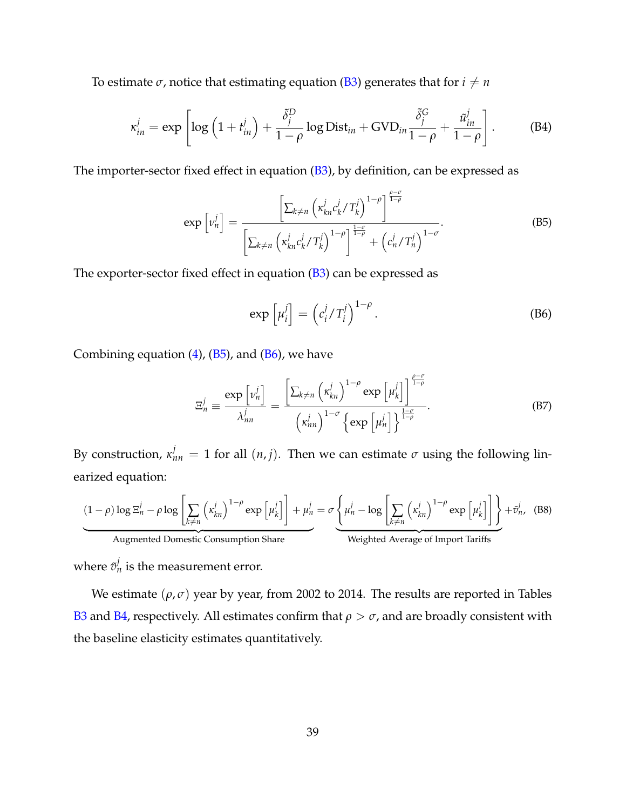To estimate  $\sigma$ , notice that estimating equation [\(B3\)](#page-37-3) generates that for  $i \neq n$ 

$$
\kappa_{in}^{j} = \exp \left[ \log \left( 1 + t_{in}^{j} \right) + \frac{\tilde{\delta}_{j}^{D}}{1 - \rho} \log \text{Dist}_{in} + \text{GVD}_{in} \frac{\tilde{\delta}_{j}^{G}}{1 - \rho} + \frac{\tilde{u}_{in}^{j}}{1 - \rho} \right].
$$
 (B4)

The importer-sector fixed effect in equation  $(B3)$ , by definition, can be expressed as

<span id="page-38-0"></span>
$$
\exp\left[\nu_n^j\right] = \frac{\left[\sum_{k\neq n} \left(\kappa_{kn}^j c_k^j / T_k^j\right)^{1-\rho}\right]^{\frac{\rho-\sigma}{1-\rho}}}{\left[\sum_{k\neq n} \left(\kappa_{kn}^j c_k^j / T_k^j\right)^{1-\rho}\right]^{\frac{1-\sigma}{1-\rho}} + \left(c_n^j / T_n^j\right)^{1-\sigma}}.
$$
\n(B5)

The exporter-sector fixed effect in equation  $(B3)$  can be expressed as

<span id="page-38-1"></span>
$$
\exp\left[\mu_i^j\right] = \left(c_i^j / T_i^j\right)^{1-\rho}.
$$
\n(B6)

Combining equation  $(4)$ ,  $(B5)$ , and  $(B6)$ , we have

$$
\Xi_n^j \equiv \frac{\exp\left[\nu_n^j\right]}{\lambda_{nn}^j} = \frac{\left[\sum_{k\neq n} \left(\kappa_{kn}^j\right)^{1-\rho} \exp\left[\mu_k^j\right]\right]^{\frac{\rho-\sigma}{1-\rho}}}{\left(\kappa_{nn}^j\right)^{1-\sigma} \left\{\exp\left[\mu_n^j\right]\right\}^{\frac{1-\sigma}{1-\rho}}}.
$$
\n(B7)

By construction,  $\kappa_{nn}^j = 1$  for all  $(n, j)$ . Then we can estimate  $\sigma$  using the following linearized equation:

$$
\underbrace{(1-\rho)\log\Xi_n^j - \rho\log\left[\sum_{k\neq n} \left(\kappa_{kn}^j\right)^{1-\rho}\exp\left[\mu_k^j\right]\right] + \mu_n^j}_{\text{Augmented Domestic Consumption Share}} + \underbrace{\phi_n^j - \log\left[\sum_{k\neq n} \left(\kappa_{kn}^j\right)^{1-\rho}\exp\left[\mu_k^j\right]\right]}_{\text{Weighted Average of Import Tariffs}} + \tilde{v}_n^j, \quad (B8)
$$

where  $\tilde{v}_{n}^{j}$  is the measurement error.

We estimate  $(\rho, \sigma)$  year by year, from 2002 to 2014. The results are reported in Tables [B3](#page-17-1) and [B4,](#page-18-0) respectively. All estimates confirm that  $\rho > \sigma$ , and are broadly consistent with the baseline elasticity estimates quantitatively.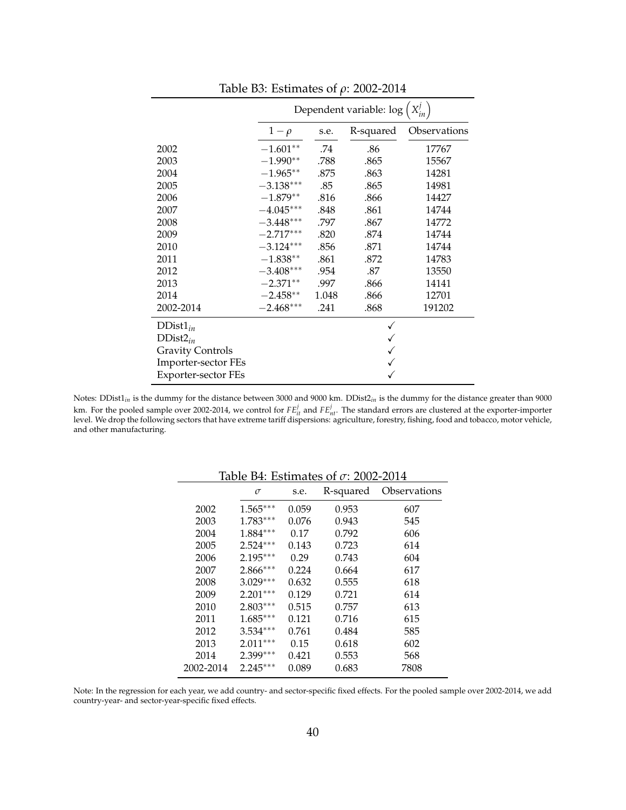|                         | Dependent variable: log |       |           |              |
|-------------------------|-------------------------|-------|-----------|--------------|
|                         | $1-\rho$                | s.e.  | R-squared | Observations |
| 2002                    | $-1.601**$              | .74   | .86       | 17767        |
| 2003                    | $-1.990**$              | .788  | .865      | 15567        |
| 2004                    | $-1.965**$              | .875  | .863      | 14281        |
| 2005                    | $-3.138***$             | .85   | .865      | 14981        |
| 2006                    | $-1.879**$              | .816  | .866      | 14427        |
| 2007                    | $-4.045***$             | .848  | .861      | 14744        |
| 2008                    | $-3.448***$             | .797  | .867      | 14772        |
| 2009                    | $-2.717***$             | .820  | .874      | 14744        |
| 2010                    | $-3.124***$             | .856  | .871      | 14744        |
| 2011                    | $-1.838**$              | .861  | .872      | 14783        |
| 2012                    | $-3.408***$             | .954  | .87       | 13550        |
| 2013                    | $-2.371**$              | .997  | .866      | 14141        |
| 2014                    | $-2.458**$              | 1.048 | .866      | 12701        |
| 2002-2014               | $-2.468***$             | .241  | .868      | 191202       |
| $DDist1_{in}$           |                         |       |           |              |
| $DDist2_{in}$           |                         |       |           |              |
| <b>Gravity Controls</b> |                         |       |           |              |
| Importer-sector FEs     |                         |       |           |              |
| Exporter-sector FEs     |                         |       |           |              |

Table B3: Estimates of *ρ*: 2002-2014

Notes: DDist1*in* is the dummy for the distance between 3000 and 9000 km. DDist2*in* is the dummy for the distance greater than 9000 km. For the pooled sample over 2002-2014, we control for  $FE_{it}^j$  and  $FE_{nt}^j$ . The standard errors are clustered at the exporter-importer<br>level. We drop the following sectors that have extreme tariff dispersions: agricul and other manufacturing.

| Table b4. Estimates of $\theta$ . 2002-2014 |            |       |           |              |  |
|---------------------------------------------|------------|-------|-----------|--------------|--|
|                                             | $\sigma$   | s.e.  | R-squared | Observations |  |
| 2002                                        | $1.565***$ | 0.059 | 0.953     | 607          |  |
| 2003                                        | $1.783***$ | 0.076 | 0.943     | 545          |  |
| 2004                                        | $1.884***$ | 0.17  | 0.792     | 606          |  |
| 2005                                        | $2.524***$ | 0.143 | 0.723     | 614          |  |
| 2006                                        | $2.195***$ | 0.29  | 0.743     | 604          |  |
| 2007                                        | $2.866***$ | 0.224 | 0.664     | 617          |  |
| 2008                                        | $3.029***$ | 0.632 | 0.555     | 618          |  |
| 2009                                        | $2.201***$ | 0.129 | 0.721     | 614          |  |
| 2010                                        | $2.803***$ | 0.515 | 0.757     | 613          |  |
| 2011                                        | $1.685***$ | 0.121 | 0.716     | 615          |  |
| 2012                                        | $3.534***$ | 0.761 | 0.484     | 585          |  |
| 2013                                        | $2.011***$ | 0.15  | 0.618     | 602          |  |
| 2014                                        | 2.399***   | 0.421 | 0.553     | 568          |  |
| 2002-2014                                   | $2.245***$ | 0.089 | 0.683     | 7808         |  |
|                                             |            |       |           |              |  |

Table B4: Estimates of *σ*: 2002-2014

Note: In the regression for each year, we add country- and sector-specific fixed effects. For the pooled sample over 2002-2014, we add country-year- and sector-year-specific fixed effects.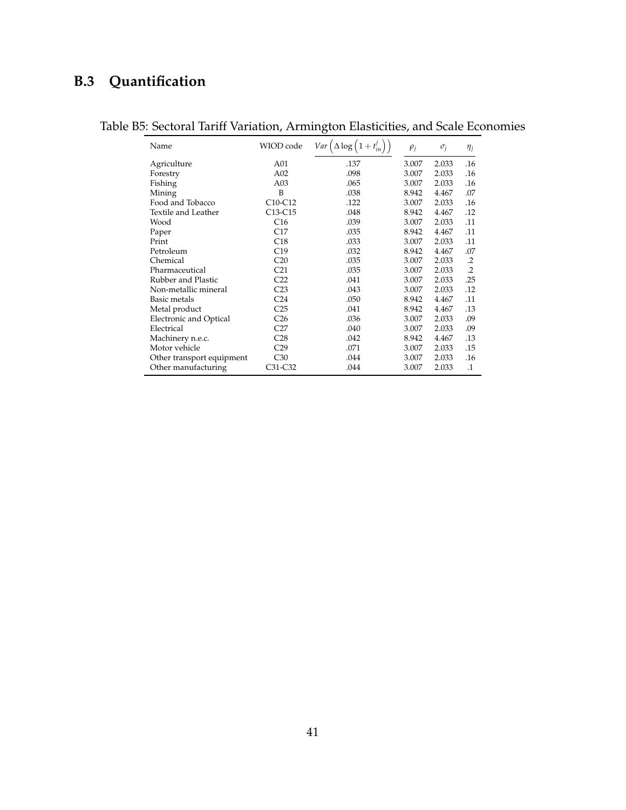## **B.3 Quantification**

| Name                          | WIOD code       | Var<br>$\Delta$ log | $\rho_j$ | $\sigma_i$ | $\eta_j$  |
|-------------------------------|-----------------|---------------------|----------|------------|-----------|
| Agriculture                   | A01             | .137                | 3.007    | 2.033      | .16       |
| Forestry                      | A02             | .098                | 3.007    | 2.033      | .16       |
| Fishing                       | A03             | .065                | 3.007    | 2.033      | .16       |
| Mining                        | B               | .038                | 8.942    | 4.467      | .07       |
| Food and Tobacco              | $C10-C12$       | .122                | 3.007    | 2.033      | .16       |
| Textile and Leather           | $C13-C15$       | .048                | 8.942    | 4.467      | .12       |
| Wood                          | C16             | .039                | 3.007    | 2.033      | .11       |
| Paper                         | C17             | .035                | 8.942    | 4.467      | .11       |
| Print                         | C18             | .033                | 3.007    | 2.033      | .11       |
| Petroleum                     | C19             | .032                | 8.942    | 4.467      | .07       |
| Chemical                      | C20             | .035                | 3.007    | 2.033      | $\cdot$   |
| Pharmaceutical                | C <sub>21</sub> | .035                | 3.007    | 2.033      | $\cdot$   |
| Rubber and Plastic            | C <sub>22</sub> | .041                | 3.007    | 2.033      | .25       |
| Non-metallic mineral          | C <sub>23</sub> | .043                | 3.007    | 2.033      | .12       |
| Basic metals                  | C <sub>24</sub> | .050                | 8.942    | 4.467      | .11       |
| Metal product                 | C <sub>25</sub> | .041                | 8.942    | 4.467      | .13       |
| <b>Electronic and Optical</b> | C <sub>26</sub> | .036                | 3.007    | 2.033      | .09       |
| Electrical                    | C27             | .040                | 3.007    | 2.033      | .09       |
| Machinery n.e.c.              | C <sub>28</sub> | .042                | 8.942    | 4.467      | .13       |
| Motor vehicle                 | C <sub>29</sub> | .071                | 3.007    | 2.033      | .15       |
| Other transport equipment     | C30             | .044                | 3.007    | 2.033      | .16       |
| Other manufacturing           | C31-C32         | .044                | 3.007    | 2.033      | $\cdot$ 1 |

## Table B5: Sectoral Tariff Variation, Armington Elasticities, and Scale Economies